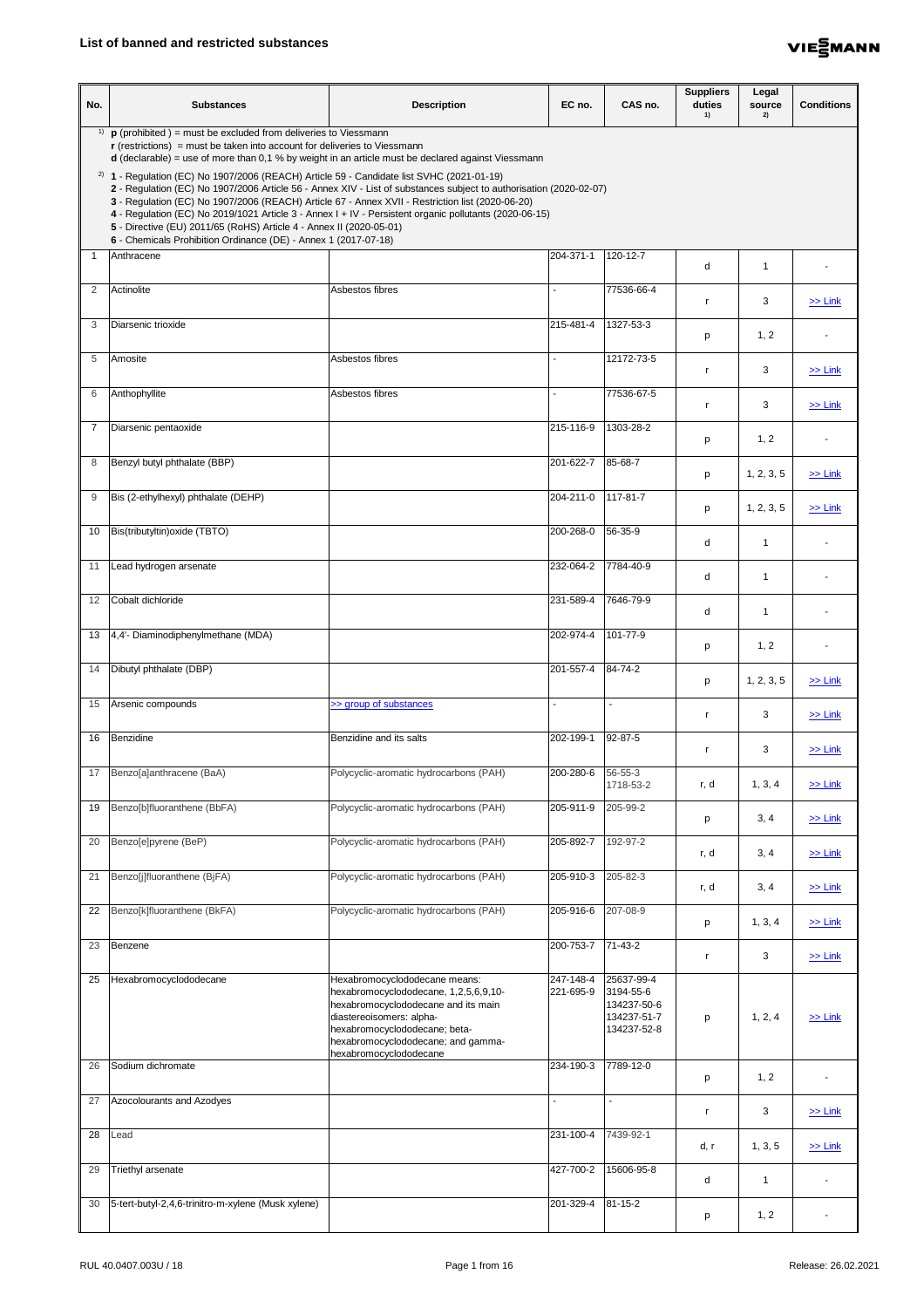

| No.            | <b>Substances</b>                                                                                                                                                                                                                                                                                                                                                                                                                                                                                                                                                                         | <b>Description</b>                                                                                                                                                                                                                         | EC no.                   | CAS no.                                                              | <b>Suppliers</b><br>duties<br>1) | Legal<br>source<br>2) | <b>Conditions</b> |
|----------------|-------------------------------------------------------------------------------------------------------------------------------------------------------------------------------------------------------------------------------------------------------------------------------------------------------------------------------------------------------------------------------------------------------------------------------------------------------------------------------------------------------------------------------------------------------------------------------------------|--------------------------------------------------------------------------------------------------------------------------------------------------------------------------------------------------------------------------------------------|--------------------------|----------------------------------------------------------------------|----------------------------------|-----------------------|-------------------|
| 1)             | $\mathbf p$ (prohibited) = must be excluded from deliveries to Viessmann<br>$\mathbf r$ (restrictions) = must be taken into account for deliveries to Viessmann<br>$d$ (declarable) = use of more than 0,1 % by weight in an article must be declared against Viessmann                                                                                                                                                                                                                                                                                                                   |                                                                                                                                                                                                                                            |                          |                                                                      |                                  |                       |                   |
|                | <sup>2)</sup> <b>1</b> - Regulation (EC) No 1907/2006 (REACH) Article 59 - Candidate list SVHC (2021-01-19)<br>2 - Regulation (EC) No 1907/2006 Article 56 - Annex XIV - List of substances subject to authorisation (2020-02-07)<br>3 - Regulation (EC) No 1907/2006 (REACH) Article 67 - Annex XVII - Restriction list (2020-06-20)<br>4 - Regulation (EC) No 2019/1021 Article 3 - Annex I + IV - Persistent organic pollutants (2020-06-15)<br>5 - Directive (EU) 2011/65 (RoHS) Article 4 - Annex II (2020-05-01)<br>6 - Chemicals Prohibition Ordinance (DE) - Annex 1 (2017-07-18) |                                                                                                                                                                                                                                            |                          |                                                                      |                                  |                       |                   |
|                | Anthracene                                                                                                                                                                                                                                                                                                                                                                                                                                                                                                                                                                                |                                                                                                                                                                                                                                            | 204-371-1                | 120-12-7                                                             | d                                | -1                    |                   |
| 2              | Actinolite                                                                                                                                                                                                                                                                                                                                                                                                                                                                                                                                                                                | Asbestos fibres                                                                                                                                                                                                                            |                          | 77536-66-4                                                           |                                  | 3                     | $\ge$ Link        |
| 3              | Diarsenic trioxide                                                                                                                                                                                                                                                                                                                                                                                                                                                                                                                                                                        |                                                                                                                                                                                                                                            | 215-481-4                | 1327-53-3                                                            | p                                | 1, 2                  |                   |
| 5              | Amosite                                                                                                                                                                                                                                                                                                                                                                                                                                                                                                                                                                                   | Asbestos fibres                                                                                                                                                                                                                            | $\sim$                   | 12172-73-5                                                           | $\mathsf{r}$                     | 3                     | $\ge$ Link        |
| 6              | Anthophyllite                                                                                                                                                                                                                                                                                                                                                                                                                                                                                                                                                                             | Asbestos fibres                                                                                                                                                                                                                            | $\blacksquare$           | 77536-67-5                                                           | $\mathsf{r}$                     | 3                     | $\ge$ Link        |
| $\overline{7}$ | Diarsenic pentaoxide                                                                                                                                                                                                                                                                                                                                                                                                                                                                                                                                                                      |                                                                                                                                                                                                                                            | 215-116-9                | 1303-28-2                                                            | p                                | 1, 2                  |                   |
| 8              | Benzyl butyl phthalate (BBP)                                                                                                                                                                                                                                                                                                                                                                                                                                                                                                                                                              |                                                                                                                                                                                                                                            | 201-622-7                | 85-68-7                                                              | p                                | 1, 2, 3, 5            | $\ge$ Link        |
| 9              | Bis (2-ethylhexyl) phthalate (DEHP)                                                                                                                                                                                                                                                                                                                                                                                                                                                                                                                                                       |                                                                                                                                                                                                                                            | 204-211-0                | $117 - 81 - 7$                                                       | p                                | 1, 2, 3, 5            | $\geq$ Link       |
| 10             | Bis(tributyltin) oxide (TBTO)                                                                                                                                                                                                                                                                                                                                                                                                                                                                                                                                                             |                                                                                                                                                                                                                                            | 200-268-0                | 56-35-9                                                              | d                                | -1                    |                   |
| 11             | Lead hydrogen arsenate                                                                                                                                                                                                                                                                                                                                                                                                                                                                                                                                                                    |                                                                                                                                                                                                                                            | 232-064-2                | 7784-40-9                                                            | d                                | -1                    |                   |
| 12             | Cobalt dichloride                                                                                                                                                                                                                                                                                                                                                                                                                                                                                                                                                                         |                                                                                                                                                                                                                                            | 231-589-4                | 7646-79-9                                                            | d                                | -1                    |                   |
| 13             | 4,4'- Diaminodiphenylmethane (MDA)                                                                                                                                                                                                                                                                                                                                                                                                                                                                                                                                                        |                                                                                                                                                                                                                                            | 202-974-4                | 101-77-9                                                             | р                                | 1, 2                  |                   |
| 14             | Dibutyl phthalate (DBP)                                                                                                                                                                                                                                                                                                                                                                                                                                                                                                                                                                   |                                                                                                                                                                                                                                            | 201-557-4                | 84-74-2                                                              | p                                | 1, 2, 3, 5            | $\ge$ Link        |
| 15             | Arsenic compounds                                                                                                                                                                                                                                                                                                                                                                                                                                                                                                                                                                         | >> group of substances                                                                                                                                                                                                                     | $\overline{\phantom{a}}$ | $\overline{a}$                                                       | <b>r</b>                         | 3                     | $\ge$ Link        |
| 16             | Benzidine                                                                                                                                                                                                                                                                                                                                                                                                                                                                                                                                                                                 | Benzidine and its salts                                                                                                                                                                                                                    | 202-199-1                | 92-87-5                                                              | $\mathsf{r}$                     | 3                     | $\ge$ Link        |
| 17             | Benzo[a]anthracene (BaA)                                                                                                                                                                                                                                                                                                                                                                                                                                                                                                                                                                  | Polycyclic-aromatic hydrocarbons (PAH)                                                                                                                                                                                                     | 200-280-6                | 56-55-3<br>1718-53-2                                                 | r, d                             | 1, 3, 4               | $\ge$ Link        |
| 19             | Benzo[b]fluoranthene (BbFA)                                                                                                                                                                                                                                                                                                                                                                                                                                                                                                                                                               | Polycyclic-aromatic hydrocarbons (PAH)                                                                                                                                                                                                     | 205-911-9                | 205-99-2                                                             | p                                | 3, 4                  | $\ge$ Link        |
| 20             | Benzo[e]pyrene (BeP)                                                                                                                                                                                                                                                                                                                                                                                                                                                                                                                                                                      | Polycyclic-aromatic hydrocarbons (PAH)                                                                                                                                                                                                     | 205-892-7                | 192-97-2                                                             | r, d                             | 3, 4                  | $\ge$ Link        |
| 21             | Benzo[j]fluoranthene (BjFA)                                                                                                                                                                                                                                                                                                                                                                                                                                                                                                                                                               | Polycyclic-aromatic hydrocarbons (PAH)                                                                                                                                                                                                     | 205-910-3                | 205-82-3                                                             | r, d                             | 3, 4                  | $\ge$ Link        |
| 22             | Benzo[k]fluoranthene (BkFA)                                                                                                                                                                                                                                                                                                                                                                                                                                                                                                                                                               | Polycyclic-aromatic hydrocarbons (PAH)                                                                                                                                                                                                     | 205-916-6                | 207-08-9                                                             | p                                | 1, 3, 4               | $\ge$ Link        |
| 23             | Benzene                                                                                                                                                                                                                                                                                                                                                                                                                                                                                                                                                                                   |                                                                                                                                                                                                                                            | 200-753-7                | $\sqrt{71-43-2}$                                                     | -r                               | $\mathbf{3}$          | $\ge$ Link        |
| 25             | Hexabromocyclododecane                                                                                                                                                                                                                                                                                                                                                                                                                                                                                                                                                                    | Hexabromocyclododecane means:<br>hexabromocyclododecane, 1,2,5,6,9,10-<br>hexabromocyclododecane and its main<br>diastereoisomers: alpha-<br>hexabromocyclododecane; beta-<br>hexabromocyclododecane; and gamma-<br>hexabromocyclododecane | 247-148-4<br>221-695-9   | 25637-99-4<br>3194-55-6<br>134237-50-6<br>134237-51-7<br>134237-52-8 | p                                | 1, 2, 4               | $\ge$ Link        |
| 26             | Sodium dichromate                                                                                                                                                                                                                                                                                                                                                                                                                                                                                                                                                                         |                                                                                                                                                                                                                                            | 234-190-3                | 7789-12-0                                                            | p                                | 1, 2                  |                   |
| 27             | Azocolourants and Azodyes                                                                                                                                                                                                                                                                                                                                                                                                                                                                                                                                                                 |                                                                                                                                                                                                                                            | $\blacksquare$           |                                                                      | $\mathsf{r}$                     | 3                     | $\ge$ Link        |
| 28             | Lead                                                                                                                                                                                                                                                                                                                                                                                                                                                                                                                                                                                      |                                                                                                                                                                                                                                            | 231-100-4                | 7439-92-1                                                            | d, r                             | 1, 3, 5               | $\ge$ Link        |
| 29             | <b>Triethyl arsenate</b>                                                                                                                                                                                                                                                                                                                                                                                                                                                                                                                                                                  |                                                                                                                                                                                                                                            | 427-700-2                | 15606-95-8                                                           | d                                | $\overline{1}$        |                   |
| 30             | 5-tert-butyl-2,4,6-trinitro-m-xylene (Musk xylene)                                                                                                                                                                                                                                                                                                                                                                                                                                                                                                                                        |                                                                                                                                                                                                                                            | 201-329-4                | $\sqrt{81-15-2}$                                                     | р                                | 1, 2                  |                   |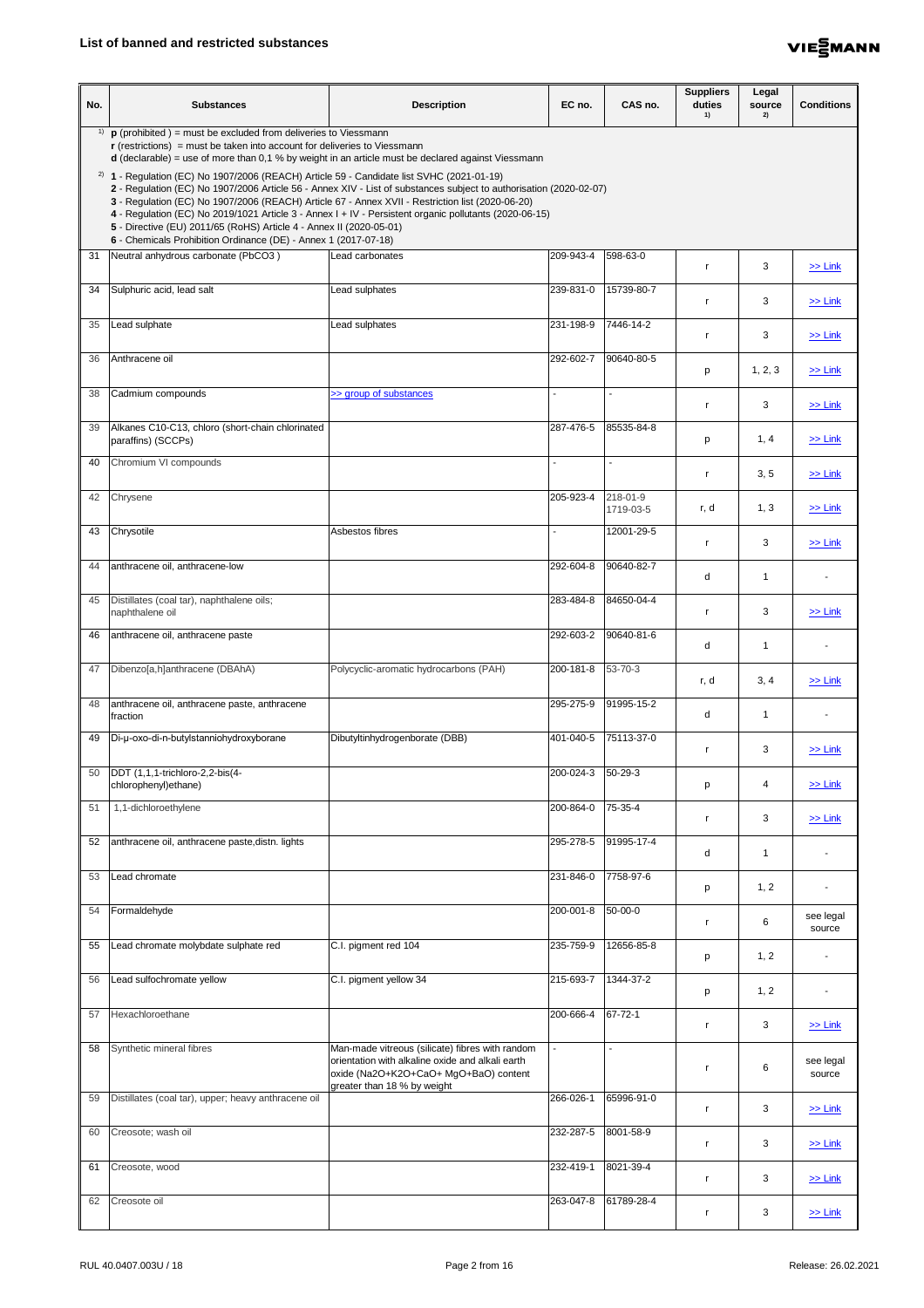

| No. | <b>Substances</b>                                                                                                                                                                                                                                                                                                                                                                                                                                                                                                                                                                         | <b>Description</b>                                                                                                                                                          | EC no.                   | CAS no.                  | <b>Suppliers</b><br>duties<br>1) | Legal<br>source<br>2) | <b>Conditions</b>   |
|-----|-------------------------------------------------------------------------------------------------------------------------------------------------------------------------------------------------------------------------------------------------------------------------------------------------------------------------------------------------------------------------------------------------------------------------------------------------------------------------------------------------------------------------------------------------------------------------------------------|-----------------------------------------------------------------------------------------------------------------------------------------------------------------------------|--------------------------|--------------------------|----------------------------------|-----------------------|---------------------|
|     | <sup>1)</sup> $\mathbf{p}$ (prohibited ) = must be excluded from deliveries to Viessmann<br>$\mathbf r$ (restrictions) = must be taken into account for deliveries to Viessmann<br>$d$ (declarable) = use of more than 0,1 % by weight in an article must be declared against Viessmann                                                                                                                                                                                                                                                                                                   |                                                                                                                                                                             |                          |                          |                                  |                       |                     |
|     | <sup>2)</sup> <b>1</b> - Regulation (EC) No 1907/2006 (REACH) Article 59 - Candidate list SVHC (2021-01-19)<br>2 - Regulation (EC) No 1907/2006 Article 56 - Annex XIV - List of substances subject to authorisation (2020-02-07)<br>3 - Regulation (EC) No 1907/2006 (REACH) Article 67 - Annex XVII - Restriction list (2020-06-20)<br>4 - Regulation (EC) No 2019/1021 Article 3 - Annex I + IV - Persistent organic pollutants (2020-06-15)<br>5 - Directive (EU) 2011/65 (RoHS) Article 4 - Annex II (2020-05-01)<br>6 - Chemicals Prohibition Ordinance (DE) - Annex 1 (2017-07-18) |                                                                                                                                                                             |                          |                          |                                  |                       |                     |
| 31  | Neutral anhydrous carbonate (PbCO3)                                                                                                                                                                                                                                                                                                                                                                                                                                                                                                                                                       | Lead carbonates                                                                                                                                                             | 209-943-4                | 598-63-0                 |                                  | 3                     | $\ge$ Link          |
| 34  | Sulphuric acid, lead salt                                                                                                                                                                                                                                                                                                                                                                                                                                                                                                                                                                 | Lead sulphates                                                                                                                                                              | 239-831-0                | 15739-80-7               |                                  | 3                     | $\ge$ Link          |
| 35  | Lead sulphate                                                                                                                                                                                                                                                                                                                                                                                                                                                                                                                                                                             | Lead sulphates                                                                                                                                                              | 231-198-9                | 7446-14-2                | r.                               | 3                     | $\ge$ Link          |
| 36  | Anthracene oil                                                                                                                                                                                                                                                                                                                                                                                                                                                                                                                                                                            |                                                                                                                                                                             | 292-602-7                | 90640-80-5               | p                                | 1, 2, 3               | $\ge$ Link          |
| 38  | Cadmium compounds                                                                                                                                                                                                                                                                                                                                                                                                                                                                                                                                                                         | >> group of substances                                                                                                                                                      |                          |                          | $\mathsf{r}$                     | 3                     | $\ge$ Link          |
| 39  | Alkanes C10-C13, chloro (short-chain chlorinated<br>paraffins) (SCCPs)                                                                                                                                                                                                                                                                                                                                                                                                                                                                                                                    |                                                                                                                                                                             | 287-476-5                | 85535-84-8               | p                                | 1, 4                  | $\ge$ Link          |
| 40  | Chromium VI compounds                                                                                                                                                                                                                                                                                                                                                                                                                                                                                                                                                                     |                                                                                                                                                                             |                          |                          | $\mathsf{r}$                     | 3, 5                  | $\geq$ Link         |
| 42  | Chrysene                                                                                                                                                                                                                                                                                                                                                                                                                                                                                                                                                                                  |                                                                                                                                                                             | 205-923-4                | 218-01-9<br>1719-03-5    | r, d                             | 1, 3                  | $\geq$ Link         |
| 43  | Chrysotile                                                                                                                                                                                                                                                                                                                                                                                                                                                                                                                                                                                | Asbestos fibres                                                                                                                                                             | $\overline{\phantom{a}}$ | 12001-29-5               | <b>r</b>                         | 3                     | $\ge$ Link          |
| 44  | anthracene oil, anthracene-low                                                                                                                                                                                                                                                                                                                                                                                                                                                                                                                                                            |                                                                                                                                                                             | 292-604-8                | 90640-82-7               | d                                | -1                    |                     |
| 45  | Distillates (coal tar), naphthalene oils;<br>naphthalene oil                                                                                                                                                                                                                                                                                                                                                                                                                                                                                                                              |                                                                                                                                                                             | 283-484-8                | 84650-04-4               |                                  | 3                     | $\ge$ Link          |
| 46  | anthracene oil, anthracene paste                                                                                                                                                                                                                                                                                                                                                                                                                                                                                                                                                          |                                                                                                                                                                             | 292-603-2                | 90640-81-6               | d                                | $\mathbf 1$           |                     |
| 47  | Dibenzo[a,h]anthracene (DBAhA)                                                                                                                                                                                                                                                                                                                                                                                                                                                                                                                                                            | Polycyclic-aromatic hydrocarbons (PAH)                                                                                                                                      | 200-181-8                | 53-70-3                  | r, d                             | 3, 4                  | $\ge$ Link          |
| 48  | anthracene oil, anthracene paste, anthracene<br>fraction                                                                                                                                                                                                                                                                                                                                                                                                                                                                                                                                  |                                                                                                                                                                             | 295-275-9                | 91995-15-2               | d                                | 1                     |                     |
| 49  | Di-µ-oxo-di-n-butylstanniohydroxyborane                                                                                                                                                                                                                                                                                                                                                                                                                                                                                                                                                   | Dibutyltinhydrogenborate (DBB)                                                                                                                                              | 401-040-5                | 75113-37-0               | r.                               | 3                     | $\ge$ Link          |
| 50  | DDT (1,1,1-trichloro-2,2-bis(4-<br>chlorophenyl) ethane)                                                                                                                                                                                                                                                                                                                                                                                                                                                                                                                                  |                                                                                                                                                                             | 200-024-3                | 50-29-3                  | p                                | 4                     | $\ge$ Link          |
| 51  | 1,1-dichloroethylene                                                                                                                                                                                                                                                                                                                                                                                                                                                                                                                                                                      |                                                                                                                                                                             | 200-864-0                | $\overline{75} - 35 - 4$ | r,                               | 3                     | $\ge$ Link          |
| 52  | anthracene oil, anthracene paste, distn. lights                                                                                                                                                                                                                                                                                                                                                                                                                                                                                                                                           |                                                                                                                                                                             | 295-278-5                | 91995-17-4               | d                                | $\mathbf 1$           |                     |
| 53  | Lead chromate                                                                                                                                                                                                                                                                                                                                                                                                                                                                                                                                                                             |                                                                                                                                                                             | 231-846-0                | 7758-97-6                | p                                | 1, 2                  |                     |
| 54  | Formaldehyde                                                                                                                                                                                                                                                                                                                                                                                                                                                                                                                                                                              |                                                                                                                                                                             | 200-001-8                | 50-00-0                  | $\mathsf{r}$                     | 6                     | see legal<br>source |
| 55  | Lead chromate molybdate sulphate red                                                                                                                                                                                                                                                                                                                                                                                                                                                                                                                                                      | C.I. pigment red 104                                                                                                                                                        | 235-759-9                | 12656-85-8               | p                                | 1, 2                  |                     |
| 56  | Lead sulfochromate yellow                                                                                                                                                                                                                                                                                                                                                                                                                                                                                                                                                                 | C.I. pigment yellow 34                                                                                                                                                      | 215-693-7                | 1344-37-2                | р                                | 1, 2                  |                     |
| 57  | Hexachloroethane                                                                                                                                                                                                                                                                                                                                                                                                                                                                                                                                                                          |                                                                                                                                                                             | 200-666-4                | 67-72-1                  |                                  | 3                     | $\ge$ Link          |
| 58  | Synthetic mineral fibres                                                                                                                                                                                                                                                                                                                                                                                                                                                                                                                                                                  | Man-made vitreous (silicate) fibres with random<br>orientation with alkaline oxide and alkali earth<br>oxide (Na2O+K2O+CaO+ MgO+BaO) content<br>greater than 18 % by weight |                          |                          |                                  | 6                     | see legal<br>source |
| 59  | Distillates (coal tar), upper; heavy anthracene oil                                                                                                                                                                                                                                                                                                                                                                                                                                                                                                                                       |                                                                                                                                                                             | 266-026-1                | 65996-91-0               |                                  | 3                     | $\ge$ Link          |
| 60  | Creosote; wash oil                                                                                                                                                                                                                                                                                                                                                                                                                                                                                                                                                                        |                                                                                                                                                                             | 232-287-5                | 8001-58-9                | $\mathsf{r}$                     | 3                     | $\ge$ Link          |
| 61  | Creosote, wood                                                                                                                                                                                                                                                                                                                                                                                                                                                                                                                                                                            |                                                                                                                                                                             | 232-419-1                | 8021-39-4                | <b>r</b>                         | 3                     | $\ge$ Link          |
| 62  | Creosote oil                                                                                                                                                                                                                                                                                                                                                                                                                                                                                                                                                                              |                                                                                                                                                                             | 263-047-8                | 61789-28-4               | r.                               | 3                     | $\geq$ Link         |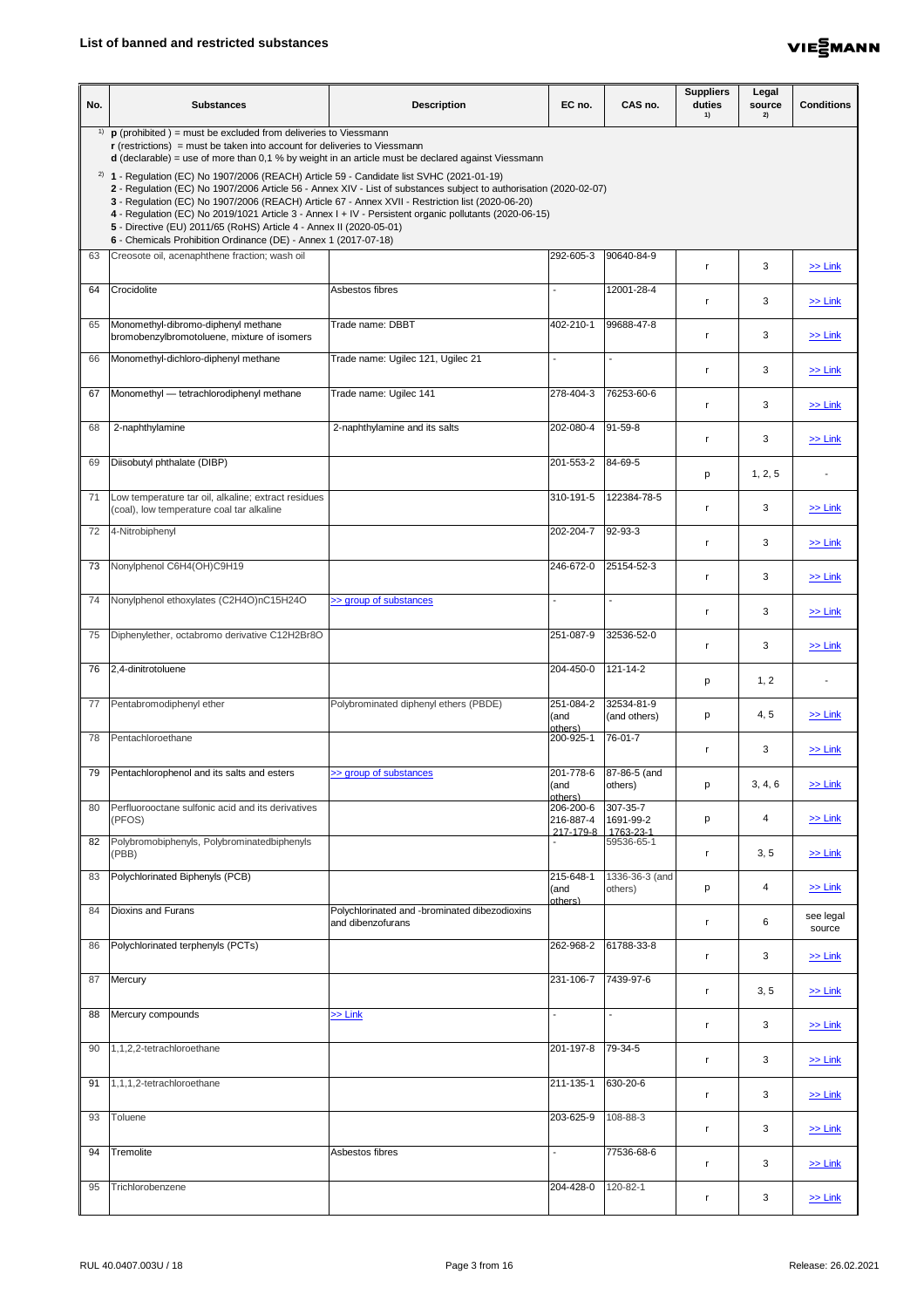

| No. | <b>Substances</b>                                                                                                                                                                                                                                                                                                                                                                                                                                                                               | <b>Description</b>                                                 | EC no.                              | CAS no.                            | <b>Suppliers</b><br>duties<br>1) | Legal<br>source<br>2) | <b>Conditions</b>   |
|-----|-------------------------------------------------------------------------------------------------------------------------------------------------------------------------------------------------------------------------------------------------------------------------------------------------------------------------------------------------------------------------------------------------------------------------------------------------------------------------------------------------|--------------------------------------------------------------------|-------------------------------------|------------------------------------|----------------------------------|-----------------------|---------------------|
| 1)  | $\mathbf p$ (prohibited) = must be excluded from deliveries to Viessmann<br>$\mathbf r$ (restrictions) = must be taken into account for deliveries to Viessmann<br>$d$ (declarable) = use of more than 0,1 % by weight in an article must be declared against Viessmann<br>$^{2)}$ 1 - Regulation (EC) No 1907/2006 (REACH) Article 59 - Candidate list SVHC (2021-01-19)<br>2 - Regulation (EC) No 1907/2006 Article 56 - Annex XIV - List of substances subject to authorisation (2020-02-07) |                                                                    |                                     |                                    |                                  |                       |                     |
|     | 3 - Regulation (EC) No 1907/2006 (REACH) Article 67 - Annex XVII - Restriction list (2020-06-20)<br>4 - Regulation (EC) No 2019/1021 Article 3 - Annex I + IV - Persistent organic pollutants (2020-06-15)<br>5 - Directive (EU) 2011/65 (RoHS) Article 4 - Annex II (2020-05-01)<br>6 - Chemicals Prohibition Ordinance (DE) - Annex 1 (2017-07-18)                                                                                                                                            |                                                                    |                                     |                                    |                                  |                       |                     |
| 63  | Creosote oil, acenaphthene fraction; wash oil                                                                                                                                                                                                                                                                                                                                                                                                                                                   |                                                                    | 292-605-3                           | 90640-84-9                         |                                  | 3                     | $\geq$ Link         |
| 64  | Crocidolite                                                                                                                                                                                                                                                                                                                                                                                                                                                                                     | Asbestos fibres                                                    |                                     | 12001-28-4                         |                                  | 3                     | $\ge$ Link          |
| 65  | Monomethyl-dibromo-diphenyl methane<br>bromobenzylbromotoluene, mixture of isomers                                                                                                                                                                                                                                                                                                                                                                                                              | Trade name: DBBT                                                   | 402-210-1                           | 99688-47-8                         |                                  | 3                     | $\ge$ Link          |
| 66  | Monomethyl-dichloro-diphenyl methane                                                                                                                                                                                                                                                                                                                                                                                                                                                            | Trade name: Ugilec 121, Ugilec 21                                  |                                     | $\overline{\phantom{0}}$           |                                  | 3                     | $\geq$ Link         |
| 67  | Monomethyl — tetrachlorodiphenyl methane                                                                                                                                                                                                                                                                                                                                                                                                                                                        | Trade name: Ugilec 141                                             | 278-404-3                           | 76253-60-6                         |                                  | 3                     | $\ge$ Link          |
| 68  | 2-naphthylamine                                                                                                                                                                                                                                                                                                                                                                                                                                                                                 | 2-naphthylamine and its salts                                      | 202-080-4                           | $91-59-8$                          |                                  | 3                     | $\geq$ Link         |
| 69  | Diisobutyl phthalate (DIBP)                                                                                                                                                                                                                                                                                                                                                                                                                                                                     |                                                                    | 201-553-2                           | 84-69-5                            | p                                | 1, 2, 5               |                     |
| 71  | Low temperature tar oil, alkaline; extract residues<br>(coal), low temperature coal tar alkaline                                                                                                                                                                                                                                                                                                                                                                                                |                                                                    | $310 - 191 - 5$                     | 122384-78-5                        |                                  | 3                     | $\ge$ Link          |
| 72  | 4-Nitrobiphenyl                                                                                                                                                                                                                                                                                                                                                                                                                                                                                 |                                                                    | 202-204-7                           | $92-93-3$                          |                                  | 3                     | $\ge$ Link          |
| 73  | Nonylphenol C6H4(OH)C9H19                                                                                                                                                                                                                                                                                                                                                                                                                                                                       |                                                                    | 246-672-0                           | 25154-52-3                         |                                  | 3                     | $\ge$ Link          |
| 74  | Nonylphenol ethoxylates (C2H4O)nC15H24O                                                                                                                                                                                                                                                                                                                                                                                                                                                         | >> group of substances                                             |                                     |                                    | $\mathsf{r}$                     | 3                     | $\ge$ Link          |
| 75  | Diphenylether, octabromo derivative C12H2Br8O                                                                                                                                                                                                                                                                                                                                                                                                                                                   |                                                                    | 251-087-9                           | 32536-52-0                         | r.                               | 3                     | $\ge$ Link          |
| 76  | 2,4-dinitrotoluene                                                                                                                                                                                                                                                                                                                                                                                                                                                                              |                                                                    | 204-450-0                           | 121-14-2                           | p                                | 1, 2                  |                     |
| 77  | Pentabromodiphenyl ether                                                                                                                                                                                                                                                                                                                                                                                                                                                                        | Polybrominated diphenyl ethers (PBDE)                              | 251-084-2<br>(and<br>others)        | 32534-81-9<br>(and others)         | p                                | 4, 5                  | $\ge$ Link          |
| 78  | Pentachloroethane                                                                                                                                                                                                                                                                                                                                                                                                                                                                               |                                                                    | 200-925-1                           | $\overline{76} - 01 - 7$           |                                  | 3                     | $\ge$ Link          |
| 79  | Pentachlorophenol and its salts and esters                                                                                                                                                                                                                                                                                                                                                                                                                                                      | >> group of substances                                             | 201-778-6<br>(and<br>others)        | 87-86-5 (and<br>others)            | p                                | 3, 4, 6               | $\ge$ Link          |
| 80  | Perfluorooctane sulfonic acid and its derivatives<br>(PFOS)                                                                                                                                                                                                                                                                                                                                                                                                                                     |                                                                    | 206-200-6<br>216-887-4<br>217-179-8 | 307-35-7<br>1691-99-2<br>1763-23-1 | p                                | 4                     | $\ge$ Link          |
| 82  | Polybromobiphenyls, Polybrominatedbiphenyls<br>(PBB)                                                                                                                                                                                                                                                                                                                                                                                                                                            |                                                                    |                                     | 59536-65-1                         | $\mathsf{r}$                     | 3, 5                  | $\ge$ Link          |
| 83  | Polychlorinated Biphenyls (PCB)                                                                                                                                                                                                                                                                                                                                                                                                                                                                 |                                                                    | 215-648-1<br>(and<br>others)        | 1336-36-3 (and<br>others)          | p                                | 4                     | $\ge$ Link          |
| 84  | <b>Dioxins and Furans</b>                                                                                                                                                                                                                                                                                                                                                                                                                                                                       | Polychlorinated and -brominated dibezodioxins<br>and dibenzofurans |                                     |                                    | r.                               | $6\phantom{1}6$       | see legal<br>source |
| 86  | Polychlorinated terphenyls (PCTs)                                                                                                                                                                                                                                                                                                                                                                                                                                                               |                                                                    | 262-968-2                           | 61788-33-8                         |                                  | 3                     | $\ge$ Link          |
| 87  | Mercury                                                                                                                                                                                                                                                                                                                                                                                                                                                                                         |                                                                    | 231-106-7                           | 7439-97-6                          |                                  | 3, 5                  | $\ge$ Link          |
| 88  | Mercury compounds                                                                                                                                                                                                                                                                                                                                                                                                                                                                               | $\gg$ Link                                                         |                                     |                                    | r.                               | 3                     | $\ge$ Link          |
| 90  | $1,1,2,2$ -tetrachloroethane                                                                                                                                                                                                                                                                                                                                                                                                                                                                    |                                                                    | 201-197-8                           | 79-34-5                            |                                  | 3                     | $\ge$ Link          |
| 91  | 1,1,1,2-tetrachloroethane                                                                                                                                                                                                                                                                                                                                                                                                                                                                       |                                                                    | 211-135-1                           | 630-20-6                           | $\mathsf{r}$                     | 3                     | $\ge$ Link          |
| 93  | Toluene                                                                                                                                                                                                                                                                                                                                                                                                                                                                                         |                                                                    | 203-625-9                           | 108-88-3                           | r.                               | 3                     | $\ge$ Link          |
| 94  | Tremolite                                                                                                                                                                                                                                                                                                                                                                                                                                                                                       | Asbestos fibres                                                    |                                     | 77536-68-6                         |                                  | 3                     | $\ge$ Link          |
| 95  | Trichlorobenzene                                                                                                                                                                                                                                                                                                                                                                                                                                                                                |                                                                    | 204-428-0                           | 120-82-1                           | -r                               | 3                     | $\ge$ Link          |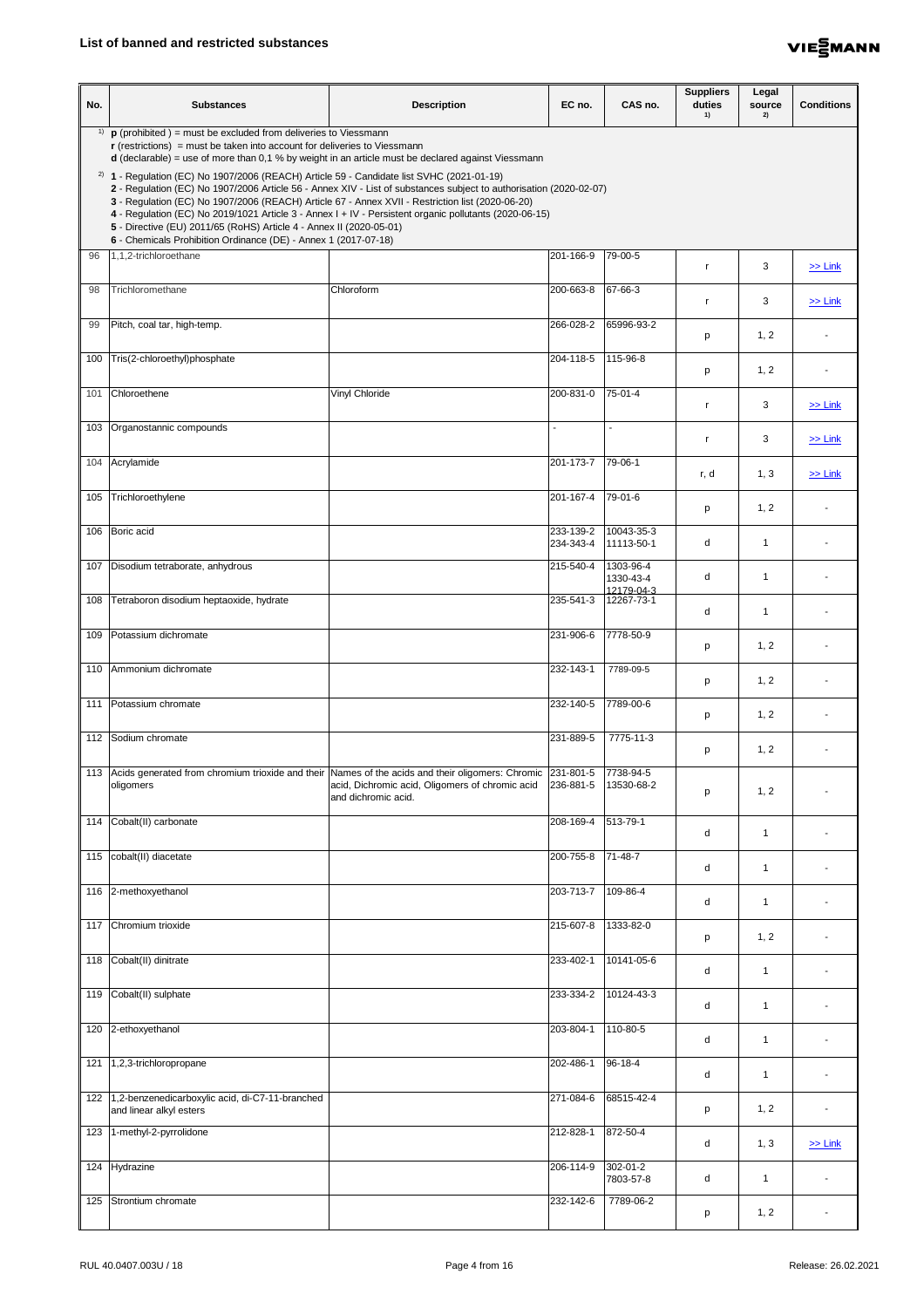

| No. | <b>Substances</b>                                                                                                                                                                                                                                                                                                                                                                                                                                                                                                                                                         | <b>Description</b>                                                     | EC no.                  | CAS no.                              | <b>Suppliers</b><br>duties<br>1) | Legal<br>source<br>2) | <b>Conditions</b> |
|-----|---------------------------------------------------------------------------------------------------------------------------------------------------------------------------------------------------------------------------------------------------------------------------------------------------------------------------------------------------------------------------------------------------------------------------------------------------------------------------------------------------------------------------------------------------------------------------|------------------------------------------------------------------------|-------------------------|--------------------------------------|----------------------------------|-----------------------|-------------------|
|     | <sup>1)</sup> <b>p</b> (prohibited ) = must be excluded from deliveries to Viessmann<br>$\mathbf r$ (restrictions) = must be taken into account for deliveries to Viessmann<br>$d$ (declarable) = use of more than 0,1 % by weight in an article must be declared against Viessmann                                                                                                                                                                                                                                                                                       |                                                                        |                         |                                      |                                  |                       |                   |
|     | $2)$ 1 - Regulation (EC) No 1907/2006 (REACH) Article 59 - Candidate list SVHC (2021-01-19)<br>2 - Regulation (EC) No 1907/2006 Article 56 - Annex XIV - List of substances subject to authorisation (2020-02-07)<br>3 - Regulation (EC) No 1907/2006 (REACH) Article 67 - Annex XVII - Restriction list (2020-06-20)<br>4 - Regulation (EC) No 2019/1021 Article 3 - Annex I + IV - Persistent organic pollutants (2020-06-15)<br>5 - Directive (EU) 2011/65 (RoHS) Article 4 - Annex II (2020-05-01)<br>6 - Chemicals Prohibition Ordinance (DE) - Annex 1 (2017-07-18) |                                                                        |                         |                                      |                                  |                       |                   |
| 96  | 1,1,2-trichloroethane                                                                                                                                                                                                                                                                                                                                                                                                                                                                                                                                                     |                                                                        | 201-166-9               | 79-00-5                              |                                  | 3                     | $\geq$ Link       |
| 98  | Trichloromethane                                                                                                                                                                                                                                                                                                                                                                                                                                                                                                                                                          | Chloroform                                                             | $200 - 663 - 8$         | 67-66-3                              | r.                               | 3                     | $\ge$ Link        |
| 99  | Pitch, coal tar, high-temp.                                                                                                                                                                                                                                                                                                                                                                                                                                                                                                                                               |                                                                        | 266-028-2               | 65996-93-2                           | p                                | 1, 2                  |                   |
|     | 100 Tris(2-chloroethyl)phosphate                                                                                                                                                                                                                                                                                                                                                                                                                                                                                                                                          |                                                                        | 204-118-5               | 115-96-8                             | p                                | 1, 2                  |                   |
|     | 101 Chloroethene                                                                                                                                                                                                                                                                                                                                                                                                                                                                                                                                                          | <b>Vinyl Chloride</b>                                                  | 200-831-0               | 75-01-4                              | r.                               | 3                     | $\ge$ Link        |
|     | 103 Organostannic compounds                                                                                                                                                                                                                                                                                                                                                                                                                                                                                                                                               |                                                                        |                         | $\overline{\phantom{0}}$             |                                  | 3                     | $\geq$ Link       |
|     | 104 Acrylamide                                                                                                                                                                                                                                                                                                                                                                                                                                                                                                                                                            |                                                                        | 201-173-7               | 79-06-1                              | r, d                             | 1, 3                  | $\geq$ Link       |
| 105 | Trichloroethylene                                                                                                                                                                                                                                                                                                                                                                                                                                                                                                                                                         |                                                                        | $\overline{201}$ -167-4 | 79-01-6                              | p                                | 1, 2                  |                   |
|     | 106 Boric acid                                                                                                                                                                                                                                                                                                                                                                                                                                                                                                                                                            |                                                                        | 233-139-2<br>234-343-4  | 10043-35-3<br>11113-50-1             | d                                | $\mathbf 1$           |                   |
|     | 107   Disodium tetraborate, anhydrous                                                                                                                                                                                                                                                                                                                                                                                                                                                                                                                                     |                                                                        | 215-540-4               | 1303-96-4<br>1330-43-4<br>12179-04-3 | d                                | $\mathbf 1$           |                   |
| 108 | Tetraboron disodium heptaoxide, hydrate                                                                                                                                                                                                                                                                                                                                                                                                                                                                                                                                   |                                                                        | 235-541-3               | 12267-73-1                           | d                                | -1                    |                   |
| 109 | Potassium dichromate                                                                                                                                                                                                                                                                                                                                                                                                                                                                                                                                                      |                                                                        | 231-906-6               | 7778-50-9                            | p                                | 1, 2                  |                   |
|     | 110 Ammonium dichromate                                                                                                                                                                                                                                                                                                                                                                                                                                                                                                                                                   |                                                                        | 232-143-1               | 7789-09-5                            | p                                | 1, 2                  |                   |
|     | 111   Potassium chromate                                                                                                                                                                                                                                                                                                                                                                                                                                                                                                                                                  |                                                                        | 232-140-5               | 7789-00-6                            | p                                | 1, 2                  |                   |
|     | 112 Sodium chromate                                                                                                                                                                                                                                                                                                                                                                                                                                                                                                                                                       |                                                                        | 231-889-5               | 7775-11-3                            | р                                | 1, 2                  |                   |
|     | 113 Acids generated from chromium trioxide and their Names of the acids and their oligomers: Chromic 231-801-5<br>oligomers                                                                                                                                                                                                                                                                                                                                                                                                                                               | acid, Dichromic acid, Oligomers of chromic acid<br>and dichromic acid. | 236-881-5               | 7738-94-5<br>13530-68-2              | p                                | 1, 2                  |                   |
| 114 | Cobalt(II) carbonate                                                                                                                                                                                                                                                                                                                                                                                                                                                                                                                                                      |                                                                        | 208-169-4               | 513-79-1                             | d                                | $\mathbf 1$           |                   |
|     | 115 cobalt(II) diacetate                                                                                                                                                                                                                                                                                                                                                                                                                                                                                                                                                  |                                                                        | 200-755-8               | 71-48-7                              | d                                | $\mathbf{1}$          |                   |
|     | 116 2-methoxyethanol                                                                                                                                                                                                                                                                                                                                                                                                                                                                                                                                                      |                                                                        | 203-713-7 109-86-4      |                                      | d                                | $\mathbf 1$           |                   |
|     | 117 Chromium trioxide                                                                                                                                                                                                                                                                                                                                                                                                                                                                                                                                                     |                                                                        | 215-607-8               | 1333-82-0                            | p                                | 1, 2                  |                   |
|     | 118 Cobalt(II) dinitrate                                                                                                                                                                                                                                                                                                                                                                                                                                                                                                                                                  |                                                                        | 233-402-1               | 10141-05-6                           | d                                | $\mathbf 1$           |                   |
|     | 119 Cobalt(II) sulphate                                                                                                                                                                                                                                                                                                                                                                                                                                                                                                                                                   |                                                                        | 233-334-2               | 10124-43-3                           | d                                | $\mathbf 1$           |                   |
|     | 120 2-ethoxyethanol                                                                                                                                                                                                                                                                                                                                                                                                                                                                                                                                                       |                                                                        | 203-804-1               | 110-80-5                             | d                                | $\mathbf 1$           |                   |
|     | 121 1,2,3-trichloropropane                                                                                                                                                                                                                                                                                                                                                                                                                                                                                                                                                |                                                                        | 202-486-1               | 96-18-4                              | d                                | $\mathbf 1$           |                   |
|     | 122 1,2-benzenedicarboxylic acid, di-C7-11-branched<br>and linear alkyl esters                                                                                                                                                                                                                                                                                                                                                                                                                                                                                            |                                                                        | 271-084-6               | 68515-42-4                           | p                                | 1, 2                  |                   |
|     | 123 1-methyl-2-pyrrolidone                                                                                                                                                                                                                                                                                                                                                                                                                                                                                                                                                |                                                                        | 212-828-1               | 872-50-4                             | d                                | 1, 3                  | $\ge$ Link        |
|     | 124 Hydrazine                                                                                                                                                                                                                                                                                                                                                                                                                                                                                                                                                             |                                                                        | 206-114-9               | 302-01-2<br>7803-57-8                | d                                | $\mathbf 1$           |                   |
|     | 125 Strontium chromate                                                                                                                                                                                                                                                                                                                                                                                                                                                                                                                                                    |                                                                        | 232-142-6               | 7789-06-2                            | p                                | 1, 2                  |                   |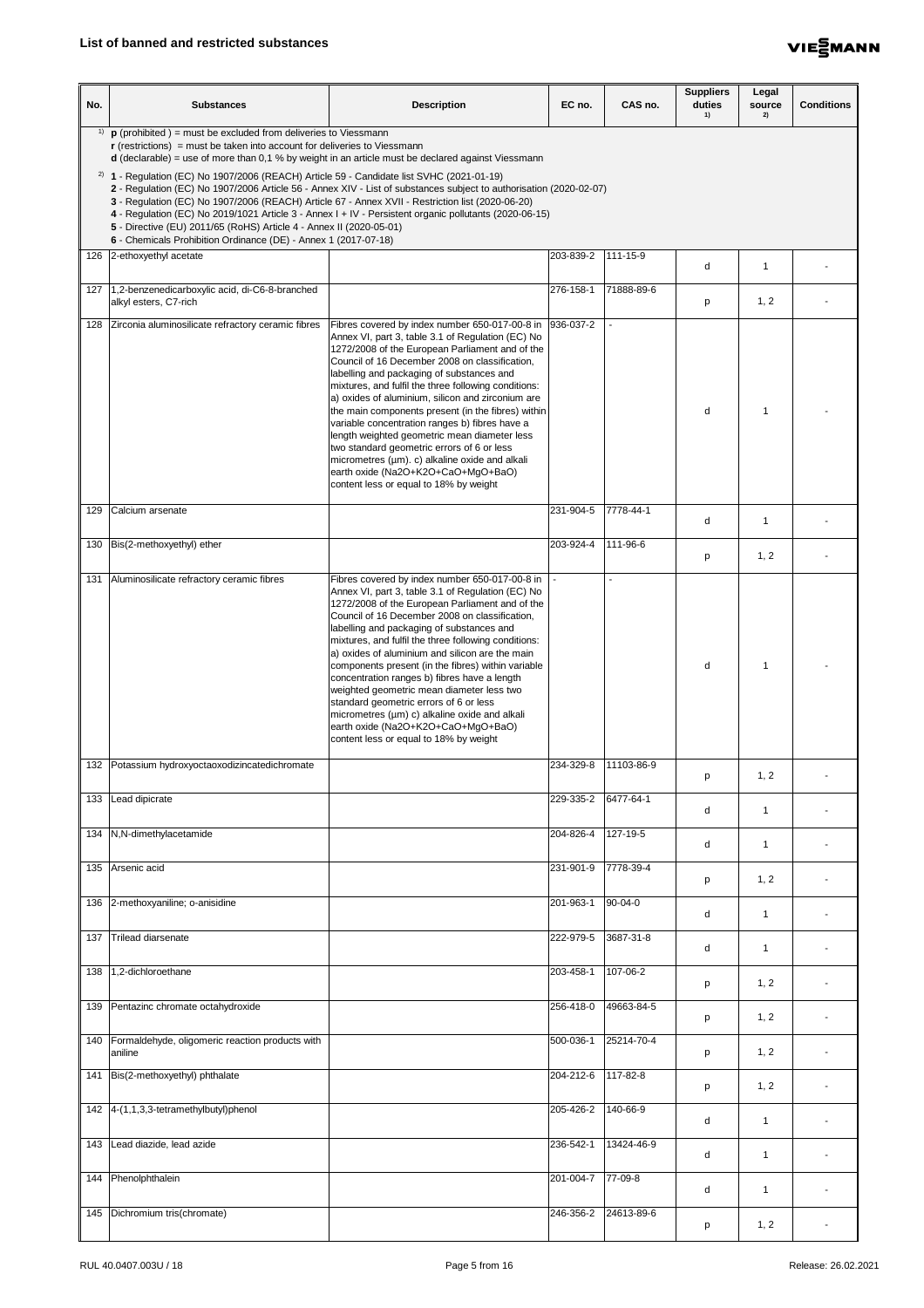

| No. | <b>Substances</b>                                                                                                                                                                                                                                                                                                                            | <b>Description</b>                                                                                                                                                                                                                                                                                                                                                                                                                                                                                                                                                                                                                                                                                                    | EC no.    | CAS no.    | <b>Suppliers</b><br>duties<br>1) | Legal<br>source<br>2) | <b>Conditions</b> |
|-----|----------------------------------------------------------------------------------------------------------------------------------------------------------------------------------------------------------------------------------------------------------------------------------------------------------------------------------------------|-----------------------------------------------------------------------------------------------------------------------------------------------------------------------------------------------------------------------------------------------------------------------------------------------------------------------------------------------------------------------------------------------------------------------------------------------------------------------------------------------------------------------------------------------------------------------------------------------------------------------------------------------------------------------------------------------------------------------|-----------|------------|----------------------------------|-----------------------|-------------------|
| 1)  | $\mathbf p$ (prohibited) = must be excluded from deliveries to Viessmann<br>$\mathbf r$ (restrictions) = must be taken into account for deliveries to Viessmann<br>$d$ (declarable) = use of more than 0,1 % by weight in an article must be declared against Viessmann                                                                      |                                                                                                                                                                                                                                                                                                                                                                                                                                                                                                                                                                                                                                                                                                                       |           |            |                                  |                       |                   |
|     | $^{2)}$ 1 - Regulation (EC) No 1907/2006 (REACH) Article 59 - Candidate list SVHC (2021-01-19)<br>3 - Regulation (EC) No 1907/2006 (REACH) Article 67 - Annex XVII - Restriction list (2020-06-20)<br>5 - Directive (EU) 2011/65 (RoHS) Article 4 - Annex II (2020-05-01)<br>6 - Chemicals Prohibition Ordinance (DE) - Annex 1 (2017-07-18) | 2 - Regulation (EC) No 1907/2006 Article 56 - Annex XIV - List of substances subject to authorisation (2020-02-07)<br>4 - Regulation (EC) No 2019/1021 Article 3 - Annex I + IV - Persistent organic pollutants (2020-06-15)                                                                                                                                                                                                                                                                                                                                                                                                                                                                                          |           |            |                                  |                       |                   |
|     | 126 2-ethoxyethyl acetate                                                                                                                                                                                                                                                                                                                    |                                                                                                                                                                                                                                                                                                                                                                                                                                                                                                                                                                                                                                                                                                                       | 203-839-2 | 111-15-9   | d                                | -1                    |                   |
| 127 | 1,2-benzenedicarboxylic acid, di-C6-8-branched<br>alkyl esters, C7-rich                                                                                                                                                                                                                                                                      |                                                                                                                                                                                                                                                                                                                                                                                                                                                                                                                                                                                                                                                                                                                       | 276-158-1 | 71888-89-6 | p                                | 1, 2                  |                   |
|     | 128 Zirconia aluminosilicate refractory ceramic fibres                                                                                                                                                                                                                                                                                       | Fibres covered by index number 650-017-00-8 in  936-037-2<br>Annex VI, part 3, table 3.1 of Regulation (EC) No<br>1272/2008 of the European Parliament and of the<br>Council of 16 December 2008 on classification,<br>labelling and packaging of substances and<br>mixtures, and fulfil the three following conditions:<br>a) oxides of aluminium, silicon and zirconium are<br>the main components present (in the fibres) within<br>variable concentration ranges b) fibres have a<br>length weighted geometric mean diameter less<br>two standard geometric errors of 6 or less<br>micrometres (µm). c) alkaline oxide and alkali<br>earth oxide (Na2O+K2O+CaO+MgO+BaO)<br>content less or equal to 18% by weight |           |            | d                                |                       |                   |
| 129 | Calcium arsenate                                                                                                                                                                                                                                                                                                                             |                                                                                                                                                                                                                                                                                                                                                                                                                                                                                                                                                                                                                                                                                                                       | 231-904-5 | 7778-44-1  | d                                | -1                    |                   |
|     | 130   Bis(2-methoxyethyl) ether                                                                                                                                                                                                                                                                                                              |                                                                                                                                                                                                                                                                                                                                                                                                                                                                                                                                                                                                                                                                                                                       | 203-924-4 | 111-96-6   | p                                | 1, 2                  |                   |
|     | 131 Aluminosilicate refractory ceramic fibres                                                                                                                                                                                                                                                                                                | Fibres covered by index number 650-017-00-8 in<br>Annex VI, part 3, table 3.1 of Regulation (EC) No<br>1272/2008 of the European Parliament and of the<br>Council of 16 December 2008 on classification,<br>labelling and packaging of substances and<br>mixtures, and fulfil the three following conditions:<br>a) oxides of aluminium and silicon are the main<br>components present (in the fibres) within variable<br>concentration ranges b) fibres have a length<br>weighted geometric mean diameter less two<br>standard geometric errors of 6 or less<br>micrometres (µm) c) alkaline oxide and alkali<br>earth oxide (Na2O+K2O+CaO+MgO+BaO)<br>content less or equal to 18% by weight                        |           |            | d                                |                       |                   |
|     | 132 Potassium hydroxyoctaoxodizincatedichromate                                                                                                                                                                                                                                                                                              |                                                                                                                                                                                                                                                                                                                                                                                                                                                                                                                                                                                                                                                                                                                       | 234-329-8 | 11103-86-9 | p                                | 1, 2                  |                   |
| 133 | Lead dipicrate                                                                                                                                                                                                                                                                                                                               |                                                                                                                                                                                                                                                                                                                                                                                                                                                                                                                                                                                                                                                                                                                       | 229-335-2 | 6477-64-1  | d                                | -1                    |                   |
|     | 134   N, N-dimethylacetamide                                                                                                                                                                                                                                                                                                                 |                                                                                                                                                                                                                                                                                                                                                                                                                                                                                                                                                                                                                                                                                                                       | 204-826-4 | 127-19-5   | d                                | -1                    |                   |
|     | 135 Arsenic acid                                                                                                                                                                                                                                                                                                                             |                                                                                                                                                                                                                                                                                                                                                                                                                                                                                                                                                                                                                                                                                                                       | 231-901-9 | 7778-39-4  | p                                | 1, 2                  |                   |
|     | 136 2-methoxyaniline; o-anisidine                                                                                                                                                                                                                                                                                                            |                                                                                                                                                                                                                                                                                                                                                                                                                                                                                                                                                                                                                                                                                                                       | 201-963-1 | $90-04-0$  | d                                | $\overline{1}$        |                   |
|     | 137 Trilead diarsenate                                                                                                                                                                                                                                                                                                                       |                                                                                                                                                                                                                                                                                                                                                                                                                                                                                                                                                                                                                                                                                                                       | 222-979-5 | 3687-31-8  | d                                | -1                    |                   |
|     | 138 1,2-dichloroethane                                                                                                                                                                                                                                                                                                                       |                                                                                                                                                                                                                                                                                                                                                                                                                                                                                                                                                                                                                                                                                                                       | 203-458-1 | 107-06-2   | p                                | 1, 2                  |                   |
|     | 139 Pentazinc chromate octahydroxide                                                                                                                                                                                                                                                                                                         |                                                                                                                                                                                                                                                                                                                                                                                                                                                                                                                                                                                                                                                                                                                       | 256-418-0 | 49663-84-5 | p                                | 1, 2                  |                   |
|     | 140   Formaldehyde, oligomeric reaction products with<br>aniline                                                                                                                                                                                                                                                                             |                                                                                                                                                                                                                                                                                                                                                                                                                                                                                                                                                                                                                                                                                                                       | 500-036-1 | 25214-70-4 | p                                | 1, 2                  |                   |
| 141 | Bis(2-methoxyethyl) phthalate                                                                                                                                                                                                                                                                                                                |                                                                                                                                                                                                                                                                                                                                                                                                                                                                                                                                                                                                                                                                                                                       | 204-212-6 | 117-82-8   | p                                | 1, 2                  |                   |
|     | 142 $ 4-(1,1,3,3-tetramethylbutyl)$ phenol                                                                                                                                                                                                                                                                                                   |                                                                                                                                                                                                                                                                                                                                                                                                                                                                                                                                                                                                                                                                                                                       | 205-426-2 | 140-66-9   | d                                | -1                    |                   |
| 143 | Lead diazide, lead azide                                                                                                                                                                                                                                                                                                                     |                                                                                                                                                                                                                                                                                                                                                                                                                                                                                                                                                                                                                                                                                                                       | 236-542-1 | 13424-46-9 | d                                | -1                    |                   |
|     | 144   Phenolphthalein                                                                                                                                                                                                                                                                                                                        |                                                                                                                                                                                                                                                                                                                                                                                                                                                                                                                                                                                                                                                                                                                       | 201-004-7 | 77-09-8    | d                                | -1                    |                   |
| 145 | Dichromium tris(chromate)                                                                                                                                                                                                                                                                                                                    |                                                                                                                                                                                                                                                                                                                                                                                                                                                                                                                                                                                                                                                                                                                       | 246-356-2 | 24613-89-6 | p                                | 1, 2                  |                   |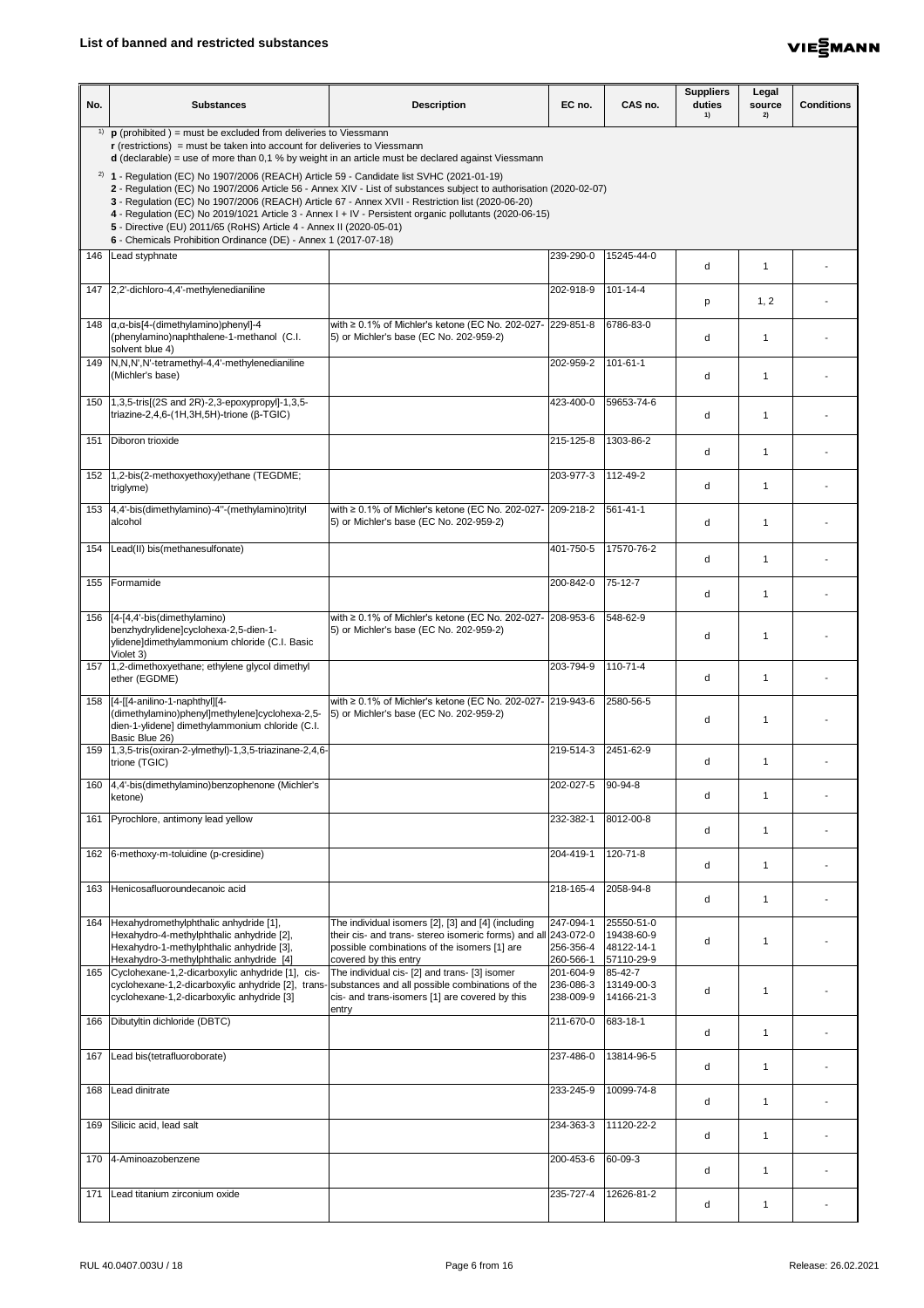

| No. | <b>Substances</b>                                                                                                                                                                                                                                                                                                                                         | <b>Description</b>                                                                                                                                                                                                           | EC no.                              | CAS no.                                              | <b>Suppliers</b><br>duties<br>1) | Legal<br>source<br>2)    | <b>Conditions</b> |
|-----|-----------------------------------------------------------------------------------------------------------------------------------------------------------------------------------------------------------------------------------------------------------------------------------------------------------------------------------------------------------|------------------------------------------------------------------------------------------------------------------------------------------------------------------------------------------------------------------------------|-------------------------------------|------------------------------------------------------|----------------------------------|--------------------------|-------------------|
| 1)  | $\mathbf p$ (prohibited) = must be excluded from deliveries to Viessmann<br>$\mathbf r$ (restrictions) = must be taken into account for deliveries to Viessmann<br>$d$ (declarable) = use of more than 0,1 % by weight in an article must be declared against Viessmann                                                                                   |                                                                                                                                                                                                                              |                                     |                                                      |                                  |                          |                   |
|     | <sup>2)</sup> <b>1</b> - Regulation (EC) No 1907/2006 (REACH) Article 59 - Candidate list SVHC (2021-01-19)<br>3 - Regulation (EC) No 1907/2006 (REACH) Article 67 - Annex XVII - Restriction list (2020-06-20)<br>5 - Directive (EU) 2011/65 (RoHS) Article 4 - Annex II (2020-05-01)<br>6 - Chemicals Prohibition Ordinance (DE) - Annex 1 (2017-07-18) | 2 - Regulation (EC) No 1907/2006 Article 56 - Annex XIV - List of substances subject to authorisation (2020-02-07)<br>4 - Regulation (EC) No 2019/1021 Article 3 - Annex I + IV - Persistent organic pollutants (2020-06-15) |                                     |                                                      |                                  |                          |                   |
|     | 146   Lead styphnate                                                                                                                                                                                                                                                                                                                                      |                                                                                                                                                                                                                              | 239-290-0                           | 15245-44-0                                           | d                                | -1                       |                   |
|     | 147 2,2'-dichloro-4,4'-methylenedianiline                                                                                                                                                                                                                                                                                                                 |                                                                                                                                                                                                                              | 202-918-9                           | $101 - 14 - 4$                                       | p                                | 1, 2                     |                   |
|     | 148 $\alpha$ , $\alpha$ -bis[4-(dimethylamino) phenyl]-4<br>(phenylamino)naphthalene-1-methanol (C.I.<br>solvent blue 4)                                                                                                                                                                                                                                  | with ≥ 0.1% of Michler's ketone (EC No. 202-027- 229-851-8<br>[5] or Michler's base (EC No. 202-959-2)                                                                                                                       |                                     | 6786-83-0                                            | d                                | -1                       |                   |
|     | 149   N, N, N', N'-tetramethyl-4, 4'-methylenedianiline<br>(Michler's base)                                                                                                                                                                                                                                                                               |                                                                                                                                                                                                                              | 202-959-2                           | $101 - 61 - 1$                                       | d                                | -1                       |                   |
|     | 150 1,3,5-tris[(2S and 2R)-2,3-epoxypropyl]-1,3,5-<br>triazine-2,4,6-(1H,3H,5H)-trione (β-TGIC)                                                                                                                                                                                                                                                           |                                                                                                                                                                                                                              | 423-400-0                           | 59653-74-6                                           | d                                | -1                       |                   |
| 151 | Diboron trioxide                                                                                                                                                                                                                                                                                                                                          |                                                                                                                                                                                                                              | 215-125-8                           | 1303-86-2                                            | d                                | -1                       |                   |
| 152 | 1,2-bis(2-methoxyethoxy)ethane (TEGDME;<br>triglyme)                                                                                                                                                                                                                                                                                                      |                                                                                                                                                                                                                              | 203-977-3                           | 112-49-2                                             | d                                |                          |                   |
|     | 153   4,4'-bis(dimethylamino)-4"-(methylamino)trityl<br>alcohol                                                                                                                                                                                                                                                                                           | with ≥ 0.1% of Michler's ketone (EC No. 202-027-  209-218-2<br>5) or Michler's base (EC No. 202-959-2)                                                                                                                       |                                     | $561 - 41 - 1$                                       | d                                | $\overline{\phantom{a}}$ |                   |
|     | 154   Lead(II) bis(methanesulfonate)                                                                                                                                                                                                                                                                                                                      |                                                                                                                                                                                                                              | 401-750-5                           | 17570-76-2                                           | d                                | -1                       |                   |
|     | 155   Formamide                                                                                                                                                                                                                                                                                                                                           |                                                                                                                                                                                                                              | 200-842-0                           | $75 - 12 - 7$                                        | d                                |                          |                   |
|     | 156   [4-[4,4'-bis(dimethylamino)<br>benzhydrylidene]cyclohexa-2,5-dien-1-<br>ylidene]dimethylammonium chloride (C.I. Basic                                                                                                                                                                                                                               | with ≥ 0.1% of Michler's ketone (EC No. 202-027-   208-953-6<br>5) or Michler's base (EC No. 202-959-2)                                                                                                                      |                                     | 548-62-9                                             | d                                | -1                       |                   |
|     | Violet 3)<br>157 1,2-dimethoxyethane; ethylene glycol dimethyl<br>ether (EGDME)                                                                                                                                                                                                                                                                           |                                                                                                                                                                                                                              | 203-794-9                           | $110 - 71 - 4$                                       | d                                | -1                       |                   |
|     | 158 [4-[[4-anilino-1-naphthyl][4-<br>(dimethylamino)phenyl]methylene]cyclohexa-2,5-<br>dien-1-ylidene] dimethylammonium chloride (C.I.<br>Basic Blue 26)                                                                                                                                                                                                  | with ≥ 0.1% of Michler's ketone (EC No. 202-027-   219-943-6<br>[5] or Michler's base (EC No. 202-959-2)                                                                                                                     |                                     | 2580-56-5                                            | d                                | -1                       |                   |
|     | trione (TGIC)                                                                                                                                                                                                                                                                                                                                             |                                                                                                                                                                                                                              | 219-514-3                           | 2451-62-9                                            | d                                | -1                       |                   |
|     | 160 4,4'-bis(dimethylamino)benzophenone (Michler's<br>ketone)                                                                                                                                                                                                                                                                                             |                                                                                                                                                                                                                              | 202-027-5                           | 90-94-8                                              | d                                | -1                       |                   |
|     | 161 Pyrochlore, antimony lead yellow                                                                                                                                                                                                                                                                                                                      |                                                                                                                                                                                                                              | 232-382-1                           | 8012-00-8                                            | d                                | -1                       |                   |
|     | 162 6-methoxy-m-toluidine (p-cresidine)                                                                                                                                                                                                                                                                                                                   |                                                                                                                                                                                                                              | 204-419-1                           | 120-71-8                                             | d                                | -1                       |                   |
|     | 163 Henicosafluoroundecanoic acid                                                                                                                                                                                                                                                                                                                         |                                                                                                                                                                                                                              | 218-165-4                           | 2058-94-8                                            | d                                |                          |                   |
|     | 164   Hexahydromethylphthalic anhydride [1],<br>Hexahydro-4-methylphthalic anhydride [2],<br>Hexahydro-1-methylphthalic anhydride [3],<br>Hexahydro-3-methylphthalic anhydride [4]                                                                                                                                                                        | The individual isomers [2], [3] and [4] (including<br>their cis- and trans- stereo isomeric forms) and all 243-072-0<br>possible combinations of the isomers [1] are<br>covered by this entry                                | 247-094-1<br>256-356-4<br>260-566-1 | 25550-51-0<br>19438-60-9<br>48122-14-1<br>57110-29-9 | d                                | -1                       |                   |
|     | 165 Cyclohexane-1,2-dicarboxylic anhydride [1], cis-<br>cyclohexane-1,2-dicarboxylic anhydride [2], trans-substances and all possible combinations of the<br>cyclohexane-1,2-dicarboxylic anhydride [3]                                                                                                                                                   | The individual cis- [2] and trans- [3] isomer<br>cis- and trans-isomers [1] are covered by this                                                                                                                              | 201-604-9<br>236-086-3<br>238-009-9 | 85-42-7<br>13149-00-3<br>14166-21-3                  | d                                | -1                       |                   |
|     | 166   Dibutyltin dichloride (DBTC)                                                                                                                                                                                                                                                                                                                        | entry                                                                                                                                                                                                                        | 211-670-0                           | 683-18-1                                             | d                                | -1                       |                   |
| 167 | Lead bis(tetrafluoroborate)                                                                                                                                                                                                                                                                                                                               |                                                                                                                                                                                                                              | 237-486-0                           | 13814-96-5                                           | d                                | -1                       |                   |
| 168 | Lead dinitrate                                                                                                                                                                                                                                                                                                                                            |                                                                                                                                                                                                                              | 233-245-9                           | 10099-74-8                                           | d                                | -1                       |                   |
| 169 | Silicic acid, lead salt                                                                                                                                                                                                                                                                                                                                   |                                                                                                                                                                                                                              | 234-363-3                           | 11120-22-2                                           | d                                | -1                       |                   |
|     | 170 4-Aminoazobenzene                                                                                                                                                                                                                                                                                                                                     |                                                                                                                                                                                                                              | 200-453-6                           | 60-09-3                                              | d                                | -1                       |                   |
| 171 | Lead titanium zirconium oxide                                                                                                                                                                                                                                                                                                                             |                                                                                                                                                                                                                              | 235-727-4                           | 12626-81-2                                           | d                                | -1                       |                   |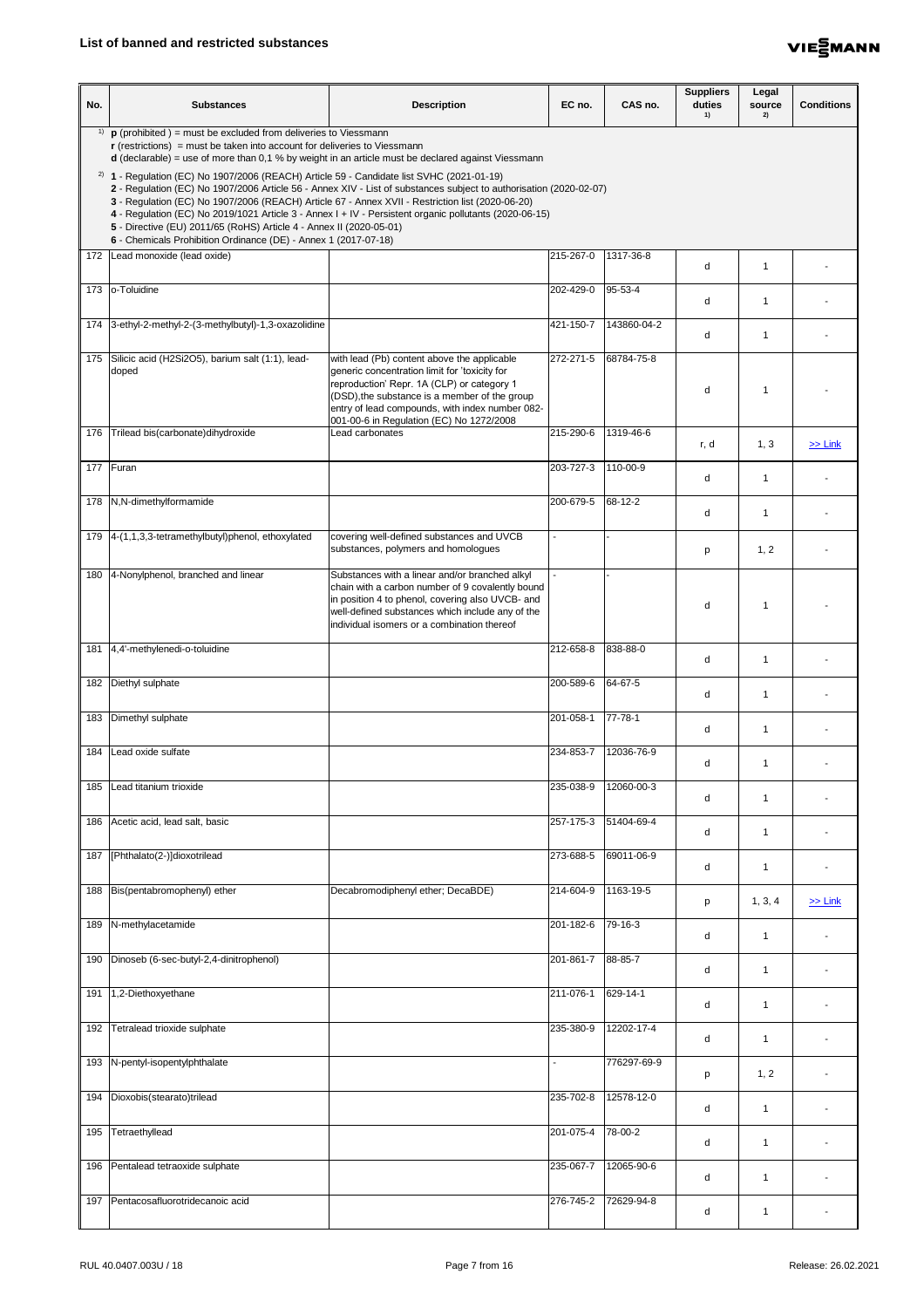

| No. | <b>Substances</b>                                                                                                                                                                                                                                                                                                                                                                                                                                                                                          | <b>Description</b>                                                                                                                                                                                                                                                                         | EC no.              | CAS no.     | <b>Suppliers</b><br>duties<br>1) | Legal<br>source<br>2) | <b>Conditions</b> |
|-----|------------------------------------------------------------------------------------------------------------------------------------------------------------------------------------------------------------------------------------------------------------------------------------------------------------------------------------------------------------------------------------------------------------------------------------------------------------------------------------------------------------|--------------------------------------------------------------------------------------------------------------------------------------------------------------------------------------------------------------------------------------------------------------------------------------------|---------------------|-------------|----------------------------------|-----------------------|-------------------|
|     | <sup>1)</sup> $\mathbf{p}$ (prohibited ) = must be excluded from deliveries to Viessmann<br>$\mathbf r$ (restrictions) = must be taken into account for deliveries to Viessmann<br>$d$ (declarable) = use of more than 0,1 % by weight in an article must be declared against Viessmann<br><sup>2)</sup> <b>1</b> - Regulation (EC) No 1907/2006 (REACH) Article 59 - Candidate list SVHC (2021-01-19)<br>3 - Regulation (EC) No 1907/2006 (REACH) Article 67 - Annex XVII - Restriction list (2020-06-20) | 2 - Regulation (EC) No 1907/2006 Article 56 - Annex XIV - List of substances subject to authorisation (2020-02-07)<br>4 - Regulation (EC) No 2019/1021 Article 3 - Annex I + IV - Persistent organic pollutants (2020-06-15)                                                               |                     |             |                                  |                       |                   |
|     | 5 - Directive (EU) 2011/65 (RoHS) Article 4 - Annex II (2020-05-01)<br>6 - Chemicals Prohibition Ordinance (DE) - Annex 1 (2017-07-18)                                                                                                                                                                                                                                                                                                                                                                     |                                                                                                                                                                                                                                                                                            |                     |             |                                  |                       |                   |
|     | 172 Lead monoxide (lead oxide)                                                                                                                                                                                                                                                                                                                                                                                                                                                                             |                                                                                                                                                                                                                                                                                            | 215-267-0           | 1317-36-8   | d                                | -1                    |                   |
|     | 173 <b>o-Toluidine</b>                                                                                                                                                                                                                                                                                                                                                                                                                                                                                     |                                                                                                                                                                                                                                                                                            | 202-429-0           | 95-53-4     | d                                | -1                    |                   |
|     | 174 3-ethyl-2-methyl-2-(3-methylbutyl)-1,3-oxazolidine                                                                                                                                                                                                                                                                                                                                                                                                                                                     |                                                                                                                                                                                                                                                                                            | 421-150-7           | 143860-04-2 | d                                | -1                    |                   |
|     | 175 Silicic acid (H2Si2O5), barium salt (1:1), lead-<br>doped                                                                                                                                                                                                                                                                                                                                                                                                                                              | with lead (Pb) content above the applicable<br>generic concentration limit for 'toxicity for<br>reproduction' Repr. 1A (CLP) or category 1<br>(DSD), the substance is a member of the group<br>entry of lead compounds, with index number 082-<br>001-00-6 in Regulation (EC) No 1272/2008 | 272-271-5           | 68784-75-8  | d                                |                       |                   |
| 176 | Trilead bis(carbonate) dihydroxide                                                                                                                                                                                                                                                                                                                                                                                                                                                                         | Lead carbonates                                                                                                                                                                                                                                                                            | 215-290-6           | 1319-46-6   | r, d                             | 1, 3                  | $\ge$ Link        |
|     | 177 Furan                                                                                                                                                                                                                                                                                                                                                                                                                                                                                                  |                                                                                                                                                                                                                                                                                            | 203-727-3           | 110-00-9    | d                                |                       |                   |
|     | 178   N, N-dimethylformamide                                                                                                                                                                                                                                                                                                                                                                                                                                                                               |                                                                                                                                                                                                                                                                                            | 200-679-5           | 68-12-2     | d                                | -1                    |                   |
|     | 179 4-(1,1,3,3-tetramethylbutyl)phenol, ethoxylated                                                                                                                                                                                                                                                                                                                                                                                                                                                        | covering well-defined substances and UVCB<br>substances, polymers and homologues                                                                                                                                                                                                           |                     |             | p                                | 1, 2                  |                   |
|     | 180 4-Nonylphenol, branched and linear                                                                                                                                                                                                                                                                                                                                                                                                                                                                     | Substances with a linear and/or branched alkyl<br>chain with a carbon number of 9 covalently bound<br>in position 4 to phenol, covering also UVCB- and<br>well-defined substances which include any of the<br>individual isomers or a combination thereof                                  |                     |             | d                                | -1                    |                   |
|     | 181 4,4'-methylenedi-o-toluidine                                                                                                                                                                                                                                                                                                                                                                                                                                                                           |                                                                                                                                                                                                                                                                                            | 212-658-8           | 838-88-0    | d                                |                       |                   |
| 182 | Diethyl sulphate                                                                                                                                                                                                                                                                                                                                                                                                                                                                                           |                                                                                                                                                                                                                                                                                            | 200-589-6           | 64-67-5     | d                                | -1                    |                   |
| 183 | Dimethyl sulphate                                                                                                                                                                                                                                                                                                                                                                                                                                                                                          |                                                                                                                                                                                                                                                                                            | 201-058-1           | 77-78-1     | d                                | -1                    |                   |
| 184 | Lead oxide sulfate                                                                                                                                                                                                                                                                                                                                                                                                                                                                                         |                                                                                                                                                                                                                                                                                            | 234-853-7           | 12036-76-9  | d                                | -1                    |                   |
| 185 | Lead titanium trioxide                                                                                                                                                                                                                                                                                                                                                                                                                                                                                     |                                                                                                                                                                                                                                                                                            | 235-038-9           | 12060-00-3  | d                                | -1                    |                   |
| 186 | Acetic acid, lead salt, basic                                                                                                                                                                                                                                                                                                                                                                                                                                                                              |                                                                                                                                                                                                                                                                                            | 257-175-3           | 51404-69-4  | d                                | -1                    |                   |
|     | 187  [Phthalato(2-)]dioxotrilead                                                                                                                                                                                                                                                                                                                                                                                                                                                                           |                                                                                                                                                                                                                                                                                            | 273-688-5           | 69011-06-9  | d                                | -1                    |                   |
|     | 188 Bis(pentabromophenyl) ether                                                                                                                                                                                                                                                                                                                                                                                                                                                                            | Decabromodiphenyl ether; DecaBDE)                                                                                                                                                                                                                                                          | 214-604-9 1163-19-5 |             | p                                | 1, 3, 4               | $\ge$ Link        |
|     | 189 N-methylacetamide                                                                                                                                                                                                                                                                                                                                                                                                                                                                                      |                                                                                                                                                                                                                                                                                            | 201-182-6           | 79-16-3     | d                                | -1                    |                   |
|     | 190   Dinoseb (6-sec-butyl-2,4-dinitrophenol)                                                                                                                                                                                                                                                                                                                                                                                                                                                              |                                                                                                                                                                                                                                                                                            | 201-861-7           | 88-85-7     | d                                | -1                    |                   |
|     | 191 1,2-Diethoxyethane                                                                                                                                                                                                                                                                                                                                                                                                                                                                                     |                                                                                                                                                                                                                                                                                            | 211-076-1           | 629-14-1    | d                                | -1                    |                   |
| 192 | Tetralead trioxide sulphate                                                                                                                                                                                                                                                                                                                                                                                                                                                                                |                                                                                                                                                                                                                                                                                            | 235-380-9           | 12202-17-4  | d                                | -1                    |                   |
|     | 193 N-pentyl-isopentylphthalate                                                                                                                                                                                                                                                                                                                                                                                                                                                                            |                                                                                                                                                                                                                                                                                            |                     | 776297-69-9 | p                                | 1, 2                  |                   |
| 194 | Dioxobis(stearato)trilead                                                                                                                                                                                                                                                                                                                                                                                                                                                                                  |                                                                                                                                                                                                                                                                                            | 235-702-8           | 12578-12-0  | d                                | -1                    |                   |
| 195 | Tetraethyllead                                                                                                                                                                                                                                                                                                                                                                                                                                                                                             |                                                                                                                                                                                                                                                                                            | 201-075-4           | 78-00-2     | d                                | -1                    |                   |
|     | 196 Pentalead tetraoxide sulphate                                                                                                                                                                                                                                                                                                                                                                                                                                                                          |                                                                                                                                                                                                                                                                                            | 235-067-7           | 12065-90-6  | d                                | -1                    |                   |
|     | 197 Pentacosafluorotridecanoic acid                                                                                                                                                                                                                                                                                                                                                                                                                                                                        |                                                                                                                                                                                                                                                                                            | 276-745-2           | 72629-94-8  | d                                | -1                    |                   |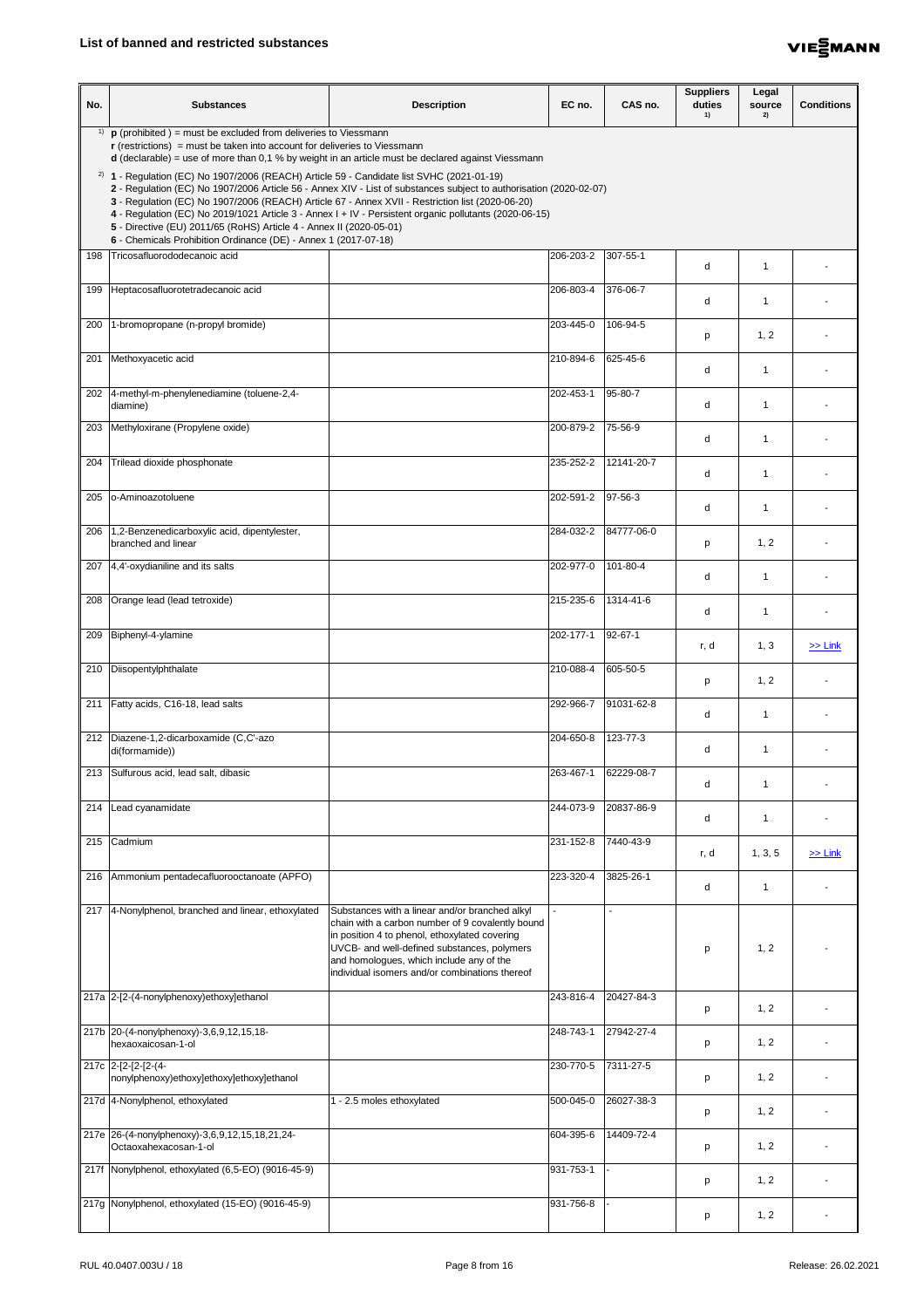

| No. | <b>Substances</b>                                                                                                                                                                                                                                                                                                                         | <b>Description</b>                                                                                                                                                                                                                                                                               | EC no.    | CAS no.          | <b>Suppliers</b><br>duties<br>1) | Legal<br>source<br>2) | <b>Conditions</b> |
|-----|-------------------------------------------------------------------------------------------------------------------------------------------------------------------------------------------------------------------------------------------------------------------------------------------------------------------------------------------|--------------------------------------------------------------------------------------------------------------------------------------------------------------------------------------------------------------------------------------------------------------------------------------------------|-----------|------------------|----------------------------------|-----------------------|-------------------|
| 1)  | $\mathbf p$ (prohibited) = must be excluded from deliveries to Viessmann<br>$\mathbf r$ (restrictions) = must be taken into account for deliveries to Viessmann                                                                                                                                                                           | <b>d</b> (declarable) = use of more than 0,1 % by weight in an article must be declared against Viessmann                                                                                                                                                                                        |           |                  |                                  |                       |                   |
|     | $2)$ 1 - Regulation (EC) No 1907/2006 (REACH) Article 59 - Candidate list SVHC (2021-01-19)<br>3 - Regulation (EC) No 1907/2006 (REACH) Article 67 - Annex XVII - Restriction list (2020-06-20)<br>5 - Directive (EU) 2011/65 (RoHS) Article 4 - Annex II (2020-05-01)<br>6 - Chemicals Prohibition Ordinance (DE) - Annex 1 (2017-07-18) | 2 - Regulation (EC) No 1907/2006 Article 56 - Annex XIV - List of substances subject to authorisation (2020-02-07)<br>4 - Regulation (EC) No 2019/1021 Article 3 - Annex I + IV - Persistent organic pollutants (2020-06-15)                                                                     |           |                  |                                  |                       |                   |
|     | 198 Tricosafluorododecanoic acid                                                                                                                                                                                                                                                                                                          |                                                                                                                                                                                                                                                                                                  | 206-203-2 | 307-55-1         | d                                | -1                    |                   |
|     | 199 Heptacosafluorotetradecanoic acid                                                                                                                                                                                                                                                                                                     |                                                                                                                                                                                                                                                                                                  | 206-803-4 | 376-06-7         | d                                | -1                    |                   |
| 200 | 1-bromopropane (n-propyl bromide)                                                                                                                                                                                                                                                                                                         |                                                                                                                                                                                                                                                                                                  | 203-445-0 | 106-94-5         | p                                | 1, 2                  |                   |
|     | 201 Methoxyacetic acid                                                                                                                                                                                                                                                                                                                    |                                                                                                                                                                                                                                                                                                  | 210-894-6 | 625-45-6         | d                                | -1                    |                   |
|     | 202 4-methyl-m-phenylenediamine (toluene-2,4-<br>diamine)                                                                                                                                                                                                                                                                                 |                                                                                                                                                                                                                                                                                                  | 202-453-1 | 95-80-7          | d                                | -1                    |                   |
|     | 203 Methyloxirane (Propylene oxide)                                                                                                                                                                                                                                                                                                       |                                                                                                                                                                                                                                                                                                  | 200-879-2 | 75-56-9          | d                                | -1                    |                   |
| 204 | Trilead dioxide phosphonate                                                                                                                                                                                                                                                                                                               |                                                                                                                                                                                                                                                                                                  | 235-252-2 | 12141-20-7       | d                                | 1                     |                   |
| 205 | o-Aminoazotoluene                                                                                                                                                                                                                                                                                                                         |                                                                                                                                                                                                                                                                                                  | 202-591-2 | $\sqrt{97-56-3}$ | d                                | $\mathbf 1$           |                   |
| 206 | 1,2-Benzenedicarboxylic acid, dipentylester,<br>branched and linear                                                                                                                                                                                                                                                                       |                                                                                                                                                                                                                                                                                                  | 284-032-2 | 84777-06-0       | р                                | 1, 2                  |                   |
|     | 207 4,4'-oxydianiline and its salts                                                                                                                                                                                                                                                                                                       |                                                                                                                                                                                                                                                                                                  | 202-977-0 | 101-80-4         | d                                | -1                    |                   |
| 208 | Orange lead (lead tetroxide)                                                                                                                                                                                                                                                                                                              |                                                                                                                                                                                                                                                                                                  | 215-235-6 | 1314-41-6        | d                                | 1                     |                   |
| 209 | Biphenyl-4-ylamine                                                                                                                                                                                                                                                                                                                        |                                                                                                                                                                                                                                                                                                  | 202-177-1 | 92-67-1          | r, d                             | 1, 3                  | $\ge$ Link        |
| 210 | Diisopentylphthalate                                                                                                                                                                                                                                                                                                                      |                                                                                                                                                                                                                                                                                                  | 210-088-4 | 605-50-5         | p                                | 1, 2                  |                   |
| 211 | Fatty acids, C16-18, lead salts                                                                                                                                                                                                                                                                                                           |                                                                                                                                                                                                                                                                                                  | 292-966-7 | 91031-62-8       | d                                | -1                    |                   |
|     | 212   Diazene-1,2-dicarboxamide (C,C'-azo<br>di(formamide))                                                                                                                                                                                                                                                                               |                                                                                                                                                                                                                                                                                                  | 204-650-8 | 123-77-3         | d                                | -1                    |                   |
| 213 | Sulfurous acid, lead salt, dibasic                                                                                                                                                                                                                                                                                                        |                                                                                                                                                                                                                                                                                                  | 263-467-1 | 62229-08-7       | d                                | -1                    |                   |
|     | 214 Lead cyanamidate                                                                                                                                                                                                                                                                                                                      |                                                                                                                                                                                                                                                                                                  | 244-073-9 | 20837-86-9       | d                                | -1                    |                   |
| 215 | Cadmium                                                                                                                                                                                                                                                                                                                                   |                                                                                                                                                                                                                                                                                                  | 231-152-8 | 7440-43-9        | r, d                             | 1, 3, 5               | $\ge$ Link        |
| 216 | Ammonium pentadecafluorooctanoate (APFO)                                                                                                                                                                                                                                                                                                  |                                                                                                                                                                                                                                                                                                  | 223-320-4 | 3825-26-1        | d.                               |                       |                   |
|     | 217 4-Nonylphenol, branched and linear, ethoxylated                                                                                                                                                                                                                                                                                       | Substances with a linear and/or branched alkyl<br>chain with a carbon number of 9 covalently bound<br>in position 4 to phenol, ethoxylated covering<br>UVCB- and well-defined substances, polymers<br>and homologues, which include any of the<br>individual isomers and/or combinations thereof |           |                  | p                                | 1, 2                  |                   |
|     | 217a 2-[2-(4-nonylphenoxy)ethoxy]ethanol                                                                                                                                                                                                                                                                                                  |                                                                                                                                                                                                                                                                                                  | 243-816-4 | 20427-84-3       | p                                | 1, 2                  |                   |
|     | 217b 20-(4-nonylphenoxy)-3,6,9,12,15,18-<br>hexaoxaicosan-1-ol                                                                                                                                                                                                                                                                            |                                                                                                                                                                                                                                                                                                  | 248-743-1 | 27942-27-4       | p                                | 1, 2                  |                   |
|     | 217c 2-[2-[2-[2-(4-<br>nonylphenoxy)ethoxy]ethoxy]ethoxy]ethanol                                                                                                                                                                                                                                                                          |                                                                                                                                                                                                                                                                                                  | 230-770-5 | 7311-27-5        | p                                | 1, 2                  |                   |
|     | 217d 4-Nonylphenol, ethoxylated                                                                                                                                                                                                                                                                                                           | 1 - 2.5 moles ethoxylated                                                                                                                                                                                                                                                                        | 500-045-0 | 26027-38-3       | p                                | 1, 2                  |                   |
|     | 217e 26-(4-nonylphenoxy)-3,6,9,12,15,18,21,24-<br>Octaoxahexacosan-1-ol                                                                                                                                                                                                                                                                   |                                                                                                                                                                                                                                                                                                  | 604-395-6 | 14409-72-4       | p                                | 1, 2                  |                   |
|     | 217f Nonylphenol, ethoxylated (6,5-EO) (9016-45-9)                                                                                                                                                                                                                                                                                        |                                                                                                                                                                                                                                                                                                  | 931-753-1 |                  | p                                | 1, 2                  |                   |
|     | 217g Nonylphenol, ethoxylated (15-EO) (9016-45-9)                                                                                                                                                                                                                                                                                         |                                                                                                                                                                                                                                                                                                  | 931-756-8 |                  | p                                | 1, 2                  |                   |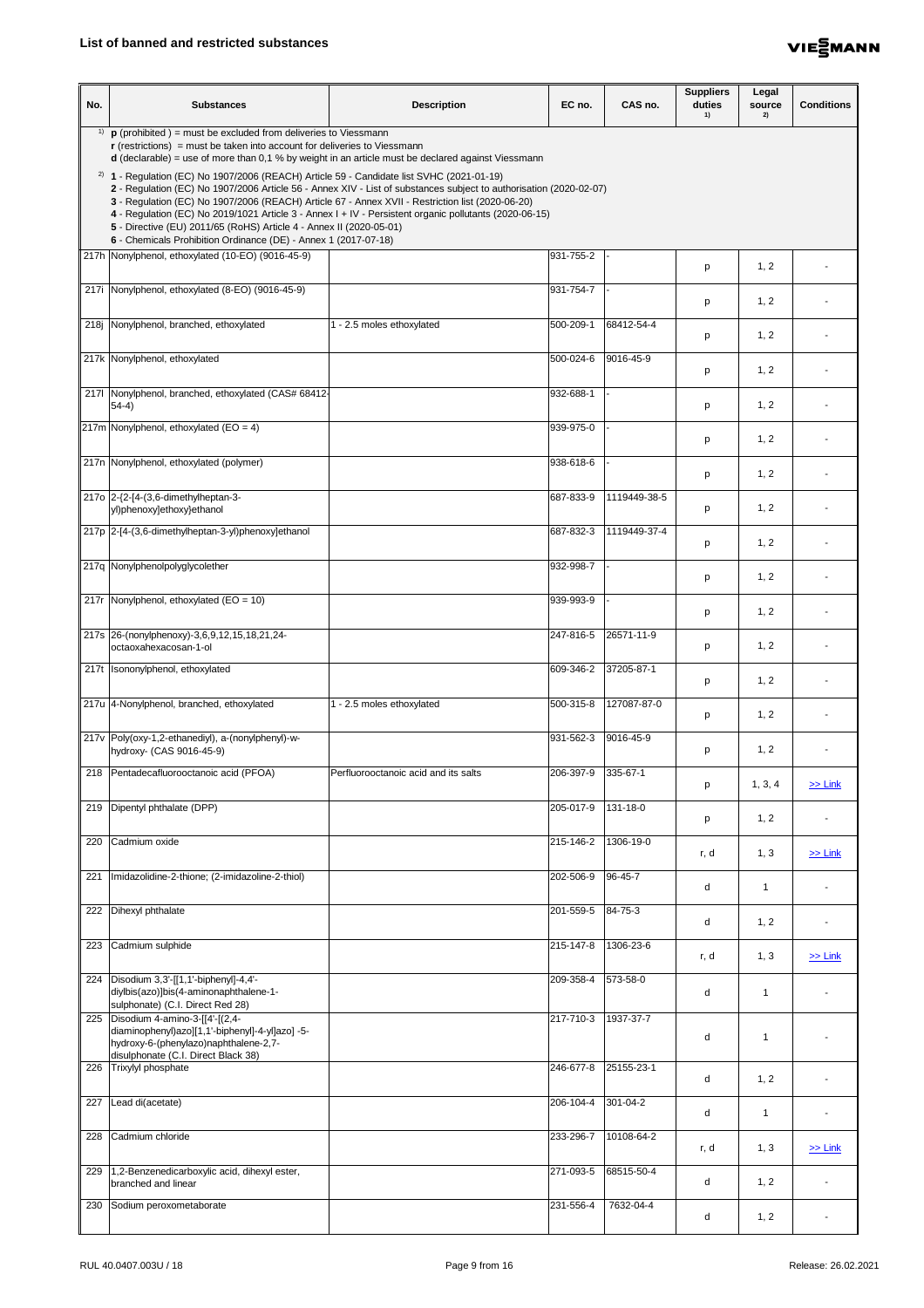

| No. | <b>Substances</b>                                                                                                                                                                                                                                                                                                                                                                                                                                                                                                                                                                  | <b>Description</b>                   | EC no.    | CAS no.         | <b>Suppliers</b><br>duties<br>1) | Legal<br>source<br>2) | <b>Conditions</b> |
|-----|------------------------------------------------------------------------------------------------------------------------------------------------------------------------------------------------------------------------------------------------------------------------------------------------------------------------------------------------------------------------------------------------------------------------------------------------------------------------------------------------------------------------------------------------------------------------------------|--------------------------------------|-----------|-----------------|----------------------------------|-----------------------|-------------------|
|     | <sup>1)</sup> $\mathbf{p}$ (prohibited ) = must be excluded from deliveries to Viessmann<br>$\mathbf r$ (restrictions) = must be taken into account for deliveries to Viessmann<br><b>d</b> (declarable) = use of more than 0,1 % by weight in an article must be declared against Viessmann                                                                                                                                                                                                                                                                                       |                                      |           |                 |                                  |                       |                   |
|     | <sup>2)</sup> 1 - Regulation (EC) No 1907/2006 (REACH) Article 59 - Candidate list SVHC (2021-01-19)<br>2 - Regulation (EC) No 1907/2006 Article 56 - Annex XIV - List of substances subject to authorisation (2020-02-07)<br>3 - Regulation (EC) No 1907/2006 (REACH) Article 67 - Annex XVII - Restriction list (2020-06-20)<br>4 - Regulation (EC) No 2019/1021 Article 3 - Annex I + IV - Persistent organic pollutants (2020-06-15)<br>5 - Directive (EU) 2011/65 (RoHS) Article 4 - Annex II (2020-05-01)<br>6 - Chemicals Prohibition Ordinance (DE) - Annex 1 (2017-07-18) |                                      |           |                 |                                  |                       |                   |
|     | 217h Nonylphenol, ethoxylated (10-EO) (9016-45-9)                                                                                                                                                                                                                                                                                                                                                                                                                                                                                                                                  |                                      | 931-755-2 |                 | p                                | 1, 2                  |                   |
|     | 217i Nonylphenol, ethoxylated (8-EO) (9016-45-9)                                                                                                                                                                                                                                                                                                                                                                                                                                                                                                                                   |                                      | 931-754-7 |                 | p                                | 1, 2                  |                   |
|     | 218j Nonylphenol, branched, ethoxylated                                                                                                                                                                                                                                                                                                                                                                                                                                                                                                                                            | - 2.5 moles ethoxylated              | 500-209-1 | 68412-54-4      | p                                | 1, 2                  |                   |
|     | 217k Nonylphenol, ethoxylated                                                                                                                                                                                                                                                                                                                                                                                                                                                                                                                                                      |                                      | 500-024-6 | 9016-45-9       | p                                | 1, 2                  |                   |
|     | 2171 Nonylphenol, branched, ethoxylated (CAS# 68412-<br>$54-4)$                                                                                                                                                                                                                                                                                                                                                                                                                                                                                                                    |                                      | 932-688-1 |                 | p                                | 1, 2                  |                   |
|     | $\vert$ 217m Nonylphenol, ethoxylated (EO = 4)                                                                                                                                                                                                                                                                                                                                                                                                                                                                                                                                     |                                      | 939-975-0 |                 | p                                | 1, 2                  |                   |
|     | 217n Nonylphenol, ethoxylated (polymer)                                                                                                                                                                                                                                                                                                                                                                                                                                                                                                                                            |                                      | 938-618-6 |                 | p                                | 1, 2                  |                   |
|     | 217o 2-{2-[4-(3,6-dimethylheptan-3-<br>yl)phenoxy]ethoxy}ethanol                                                                                                                                                                                                                                                                                                                                                                                                                                                                                                                   |                                      | 687-833-9 | 1119449-38-5    | p                                | 1, 2                  |                   |
|     | 217p 2-[4-(3,6-dimethylheptan-3-yl)phenoxy]ethanol                                                                                                                                                                                                                                                                                                                                                                                                                                                                                                                                 |                                      | 687-832-3 | 1119449-37-4    | p                                | 1, 2                  |                   |
|     | 217q Nonylphenolpolyglycolether                                                                                                                                                                                                                                                                                                                                                                                                                                                                                                                                                    |                                      | 932-998-7 |                 | p                                | 1, 2                  |                   |
|     | 217r   Nonylphenol, ethoxylated ( $EO = 10$ )                                                                                                                                                                                                                                                                                                                                                                                                                                                                                                                                      |                                      | 939-993-9 |                 | p                                | 1, 2                  |                   |
|     | 217s 26-(nonylphenoxy)-3,6,9,12,15,18,21,24-<br>octaoxahexacosan-1-ol                                                                                                                                                                                                                                                                                                                                                                                                                                                                                                              |                                      | 247-816-5 | 26571-11-9      | p                                | 1, 2                  |                   |
|     | 217t Isononylphenol, ethoxylated                                                                                                                                                                                                                                                                                                                                                                                                                                                                                                                                                   |                                      | 609-346-2 | 37205-87-1      | p                                | 1, 2                  |                   |
|     | 217u 4-Nonylphenol, branched, ethoxylated                                                                                                                                                                                                                                                                                                                                                                                                                                                                                                                                          | - 2.5 moles ethoxylated              | 500-315-8 | 127087-87-0     | p                                | 1, 2                  |                   |
|     | 217v Poly(oxy-1,2-ethanediyl), a-(nonylphenyl)-w-<br>hydroxy- (CAS 9016-45-9)                                                                                                                                                                                                                                                                                                                                                                                                                                                                                                      |                                      | 931-562-3 | 9016-45-9       | p                                | 1, 2                  |                   |
|     | 218   Pentadecafluorooctanoic acid (PFOA)                                                                                                                                                                                                                                                                                                                                                                                                                                                                                                                                          | Perfluorooctanoic acid and its salts | 206-397-9 | 335-67-1        | p                                | 1, 3, 4               | $\ge$ Link        |
| 219 | Dipentyl phthalate (DPP)                                                                                                                                                                                                                                                                                                                                                                                                                                                                                                                                                           |                                      | 205-017-9 | 131-18-0        | p                                | 1, 2                  |                   |
| 220 | Cadmium oxide                                                                                                                                                                                                                                                                                                                                                                                                                                                                                                                                                                      |                                      | 215-146-2 | 1306-19-0       | r, d                             | 1, 3                  | $\ge$ Link        |
| 221 | Imidazolidine-2-thione; (2-imidazoline-2-thiol)                                                                                                                                                                                                                                                                                                                                                                                                                                                                                                                                    |                                      | 202-506-9 | 96-45-7         | d                                |                       |                   |
|     | 222 Dihexyl phthalate                                                                                                                                                                                                                                                                                                                                                                                                                                                                                                                                                              |                                      | 201-559-5 | 84-75-3         | d                                | 1, 2                  |                   |
| 223 | Cadmium sulphide                                                                                                                                                                                                                                                                                                                                                                                                                                                                                                                                                                   |                                      | 215-147-8 | $1306 - 23 - 6$ | r, d                             | 1, 3                  | $\ge$ Link        |
|     | 224   Disodium 3,3'-[[1,1'-biphenyl]-4,4'-<br>diylbis(azo)]bis(4-aminonaphthalene-1-<br>sulphonate) (C.I. Direct Red 28)                                                                                                                                                                                                                                                                                                                                                                                                                                                           |                                      | 209-358-4 | 573-58-0        | d                                | 1                     |                   |
|     | 225   Disodium 4-amino-3-[[4'-[(2,4-<br>diaminophenyl)azo][1,1'-biphenyl]-4-yl]azo] -5-<br>hydroxy-6-(phenylazo)naphthalene-2,7-<br>disulphonate (C.I. Direct Black 38)                                                                                                                                                                                                                                                                                                                                                                                                            |                                      | 217-710-3 | 1937-37-7       | d                                | $\overline{1}$        |                   |
|     | 226 Trixylyl phosphate                                                                                                                                                                                                                                                                                                                                                                                                                                                                                                                                                             |                                      | 246-677-8 | 25155-23-1      | d                                | 1, 2                  |                   |
| 227 | Lead di(acetate)                                                                                                                                                                                                                                                                                                                                                                                                                                                                                                                                                                   |                                      | 206-104-4 | 301-04-2        | d                                | -1                    |                   |
|     | 228 Cadmium chloride                                                                                                                                                                                                                                                                                                                                                                                                                                                                                                                                                               |                                      | 233-296-7 | 10108-64-2      | r, d                             | 1, 3                  | $\ge$ Link        |
| 229 | 1,2-Benzenedicarboxylic acid, dihexyl ester,<br>branched and linear                                                                                                                                                                                                                                                                                                                                                                                                                                                                                                                |                                      | 271-093-5 | 68515-50-4      | d                                | 1, 2                  |                   |
| 230 | Sodium peroxometaborate                                                                                                                                                                                                                                                                                                                                                                                                                                                                                                                                                            |                                      | 231-556-4 | 7632-04-4       | d                                | 1, 2                  |                   |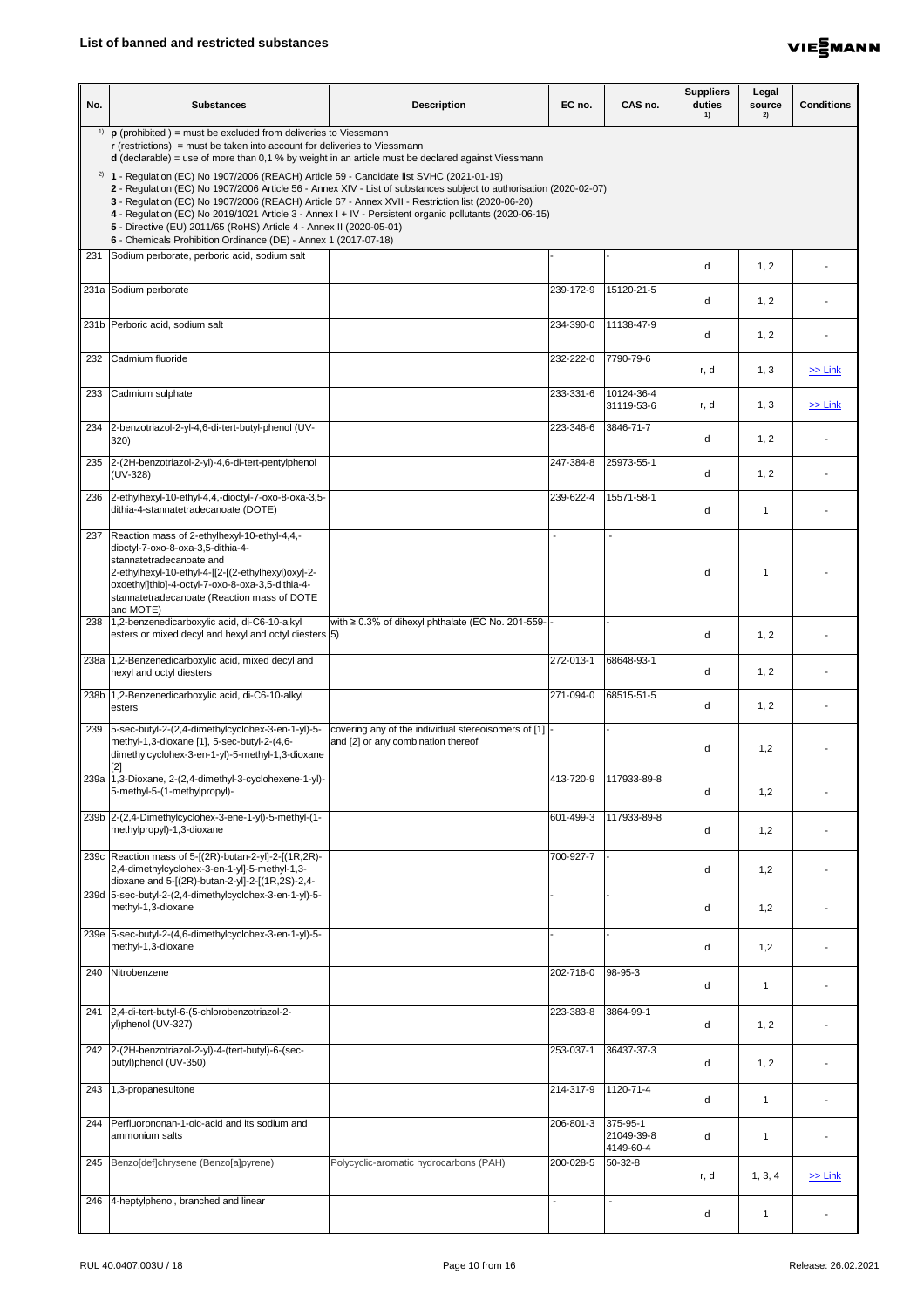

| No. | <b>Substances</b>                                                                                                                                                                                                                                                                                                                         | <b>Description</b>                                                                                                                                                                                                           | EC no.         | CAS no.                             | <b>Suppliers</b><br>duties<br>1) | Legal<br>source<br>2) | <b>Conditions</b> |
|-----|-------------------------------------------------------------------------------------------------------------------------------------------------------------------------------------------------------------------------------------------------------------------------------------------------------------------------------------------|------------------------------------------------------------------------------------------------------------------------------------------------------------------------------------------------------------------------------|----------------|-------------------------------------|----------------------------------|-----------------------|-------------------|
| 1)  | $\mathbf p$ (prohibited) = must be excluded from deliveries to Viessmann<br>$\mathbf r$ (restrictions) = must be taken into account for deliveries to Viessmann<br><b>d</b> (declarable) = use of more than 0,1 % by weight in an article must be declared against Viessmann                                                              |                                                                                                                                                                                                                              |                |                                     |                                  |                       |                   |
|     | $2)$ 1 - Regulation (EC) No 1907/2006 (REACH) Article 59 - Candidate list SVHC (2021-01-19)<br>3 - Regulation (EC) No 1907/2006 (REACH) Article 67 - Annex XVII - Restriction list (2020-06-20)<br>5 - Directive (EU) 2011/65 (RoHS) Article 4 - Annex II (2020-05-01)<br>6 - Chemicals Prohibition Ordinance (DE) - Annex 1 (2017-07-18) | 2 - Regulation (EC) No 1907/2006 Article 56 - Annex XIV - List of substances subject to authorisation (2020-02-07)<br>4 - Regulation (EC) No 2019/1021 Article 3 - Annex I + IV - Persistent organic pollutants (2020-06-15) |                |                                     |                                  |                       |                   |
|     | 231 Sodium perborate, perboric acid, sodium salt                                                                                                                                                                                                                                                                                          |                                                                                                                                                                                                                              |                |                                     | d                                | 1, 2                  |                   |
|     | 231a Sodium perborate                                                                                                                                                                                                                                                                                                                     |                                                                                                                                                                                                                              | 239-172-9      | 15120-21-5                          | d                                | 1, 2                  |                   |
|     | 231b Perboric acid, sodium salt                                                                                                                                                                                                                                                                                                           |                                                                                                                                                                                                                              | 234-390-0      | 11138-47-9                          | d                                | 1, 2                  |                   |
|     | 232 Cadmium fluoride                                                                                                                                                                                                                                                                                                                      |                                                                                                                                                                                                                              | 232-222-0      | 7790-79-6                           | r, d                             | 1, 3                  | $\geq$ Link       |
|     | 233 Cadmium sulphate                                                                                                                                                                                                                                                                                                                      |                                                                                                                                                                                                                              | 233-331-6      | 10124-36-4<br>31119-53-6            | r, d                             | 1, 3                  | $\ge$ Link        |
|     | 234 2-benzotriazol-2-yl-4,6-di-tert-butyl-phenol (UV-<br>320)                                                                                                                                                                                                                                                                             |                                                                                                                                                                                                                              | 223-346-6      | 3846-71-7                           | d                                | 1, 2                  |                   |
|     | 235 2-(2H-benzotriazol-2-yl)-4,6-di-tert-pentylphenol<br>$(UV-328)$                                                                                                                                                                                                                                                                       |                                                                                                                                                                                                                              | 247-384-8      | 25973-55-1                          | d                                | 1, 2                  |                   |
| 236 | 2-ethylhexyl-10-ethyl-4,4,-dioctyl-7-oxo-8-oxa-3,5-<br>dithia-4-stannatetradecanoate (DOTE)                                                                                                                                                                                                                                               |                                                                                                                                                                                                                              | 239-622-4      | 15571-58-1                          | d                                | -1                    |                   |
|     | 237 Reaction mass of 2-ethylhexyl-10-ethyl-4,4,-<br>dioctyl-7-oxo-8-oxa-3,5-dithia-4-                                                                                                                                                                                                                                                     |                                                                                                                                                                                                                              |                |                                     |                                  |                       |                   |
|     | stannatetradecanoate and<br>2-ethylhexyl-10-ethyl-4-[[2-[(2-ethylhexyl)oxy]-2-<br>oxoethyl]thio]-4-octyl-7-oxo-8-oxa-3,5-dithia-4-<br>stannatetradecanoate (Reaction mass of DOTE<br>and MOTE)                                                                                                                                            |                                                                                                                                                                                                                              |                |                                     | d                                |                       |                   |
|     | 238 1,2-benzenedicarboxylic acid, di-C6-10-alkyl<br>esters or mixed decyl and hexyl and octyl diesters (5)                                                                                                                                                                                                                                | with $\geq 0.3\%$ of dihexyl phthalate (EC No. 201-559-                                                                                                                                                                      |                |                                     | d                                | 1, 2                  |                   |
|     | 238a   1,2-Benzenedicarboxylic acid, mixed decyl and<br>hexyl and octyl diesters                                                                                                                                                                                                                                                          |                                                                                                                                                                                                                              | 272-013-1      | 68648-93-1                          | d                                | 1, 2                  |                   |
|     | 238b 1,2-Benzenedicarboxylic acid, di-C6-10-alkyl<br>esters                                                                                                                                                                                                                                                                               |                                                                                                                                                                                                                              | 271-094-0      | 68515-51-5                          | d                                | 1, 2                  |                   |
| 239 | 5-sec-butyl-2-(2,4-dimethylcyclohex-3-en-1-yl)-5-<br>methyl-1,3-dioxane [1], 5-sec-butyl-2-(4,6-<br>dimethylcyclohex-3-en-1-yl)-5-methyl-1,3-dioxane                                                                                                                                                                                      | covering any of the individual stereoisomers of [1]<br>and [2] or any combination thereof                                                                                                                                    |                |                                     | d                                | 1,2                   |                   |
|     | 239a 1,3-Dioxane, 2-(2,4-dimethyl-3-cyclohexene-1-yl)-<br>5-methyl-5-(1-methylpropyl)-                                                                                                                                                                                                                                                    |                                                                                                                                                                                                                              | 413-720-9      | 117933-89-8                         | d                                | 1,2                   |                   |
|     | 239b 2-(2,4-Dimethylcyclohex-3-ene-1-yl)-5-methyl-(1-<br>methylpropyl)-1,3-dioxane                                                                                                                                                                                                                                                        |                                                                                                                                                                                                                              | 601-499-3      | 117933-89-8                         | d                                | 1,2                   |                   |
|     | 239c   Reaction mass of 5-[(2R)-butan-2-yl]-2-[(1R,2R)-<br>2,4-dimethylcyclohex-3-en-1-yl]-5-methyl-1,3-<br>dioxane and 5-[(2R)-butan-2-yl]-2-[(1R,2S)-2,4-                                                                                                                                                                               |                                                                                                                                                                                                                              | 700-927-7      |                                     | d                                | 1,2                   |                   |
|     | 239d 5-sec-butyl-2-(2,4-dimethylcyclohex-3-en-1-yl)-5-<br>methyl-1,3-dioxane                                                                                                                                                                                                                                                              |                                                                                                                                                                                                                              |                |                                     | d                                | 1,2                   |                   |
|     | 239e 5-sec-butyl-2-(4,6-dimethylcyclohex-3-en-1-yl)-5-<br>methyl-1,3-dioxane                                                                                                                                                                                                                                                              |                                                                                                                                                                                                                              |                |                                     | d                                | 1,2                   |                   |
| 240 | Nitrobenzene                                                                                                                                                                                                                                                                                                                              |                                                                                                                                                                                                                              | 202-716-0      | 98-95-3                             | d                                | -1                    |                   |
|     | 241 2,4-di-tert-butyl-6-(5-chlorobenzotriazol-2-<br>yl)phenol (UV-327)                                                                                                                                                                                                                                                                    |                                                                                                                                                                                                                              | 223-383-8      | 3864-99-1                           | d                                | 1, 2                  |                   |
|     | 242 2-(2H-benzotriazol-2-yl)-4-(tert-butyl)-6-(sec-<br>butyl)phenol (UV-350)                                                                                                                                                                                                                                                              |                                                                                                                                                                                                                              | 253-037-1      | 36437-37-3                          | d                                | 1, 2                  |                   |
| 243 | 1,3-propanesultone                                                                                                                                                                                                                                                                                                                        |                                                                                                                                                                                                                              | 214-317-9      | 1120-71-4                           | d                                | -1                    |                   |
| 244 | Perfluorononan-1-oic-acid and its sodium and<br>ammonium salts                                                                                                                                                                                                                                                                            |                                                                                                                                                                                                                              | 206-801-3      | 375-95-1<br>21049-39-8<br>4149-60-4 | d                                | $\mathbf 1$           |                   |
|     | 245   Benzo[def]chrysene (Benzo[a]pyrene)                                                                                                                                                                                                                                                                                                 | Polycyclic-aromatic hydrocarbons (PAH)                                                                                                                                                                                       | 200-028-5      | $50 - 32 - 8$                       | r, d                             | 1, 3, 4               | $\ge$ Link        |
|     | 246 4-heptylphenol, branched and linear                                                                                                                                                                                                                                                                                                   |                                                                                                                                                                                                                              | $\blacksquare$ |                                     | d                                | $\mathbf 1$           |                   |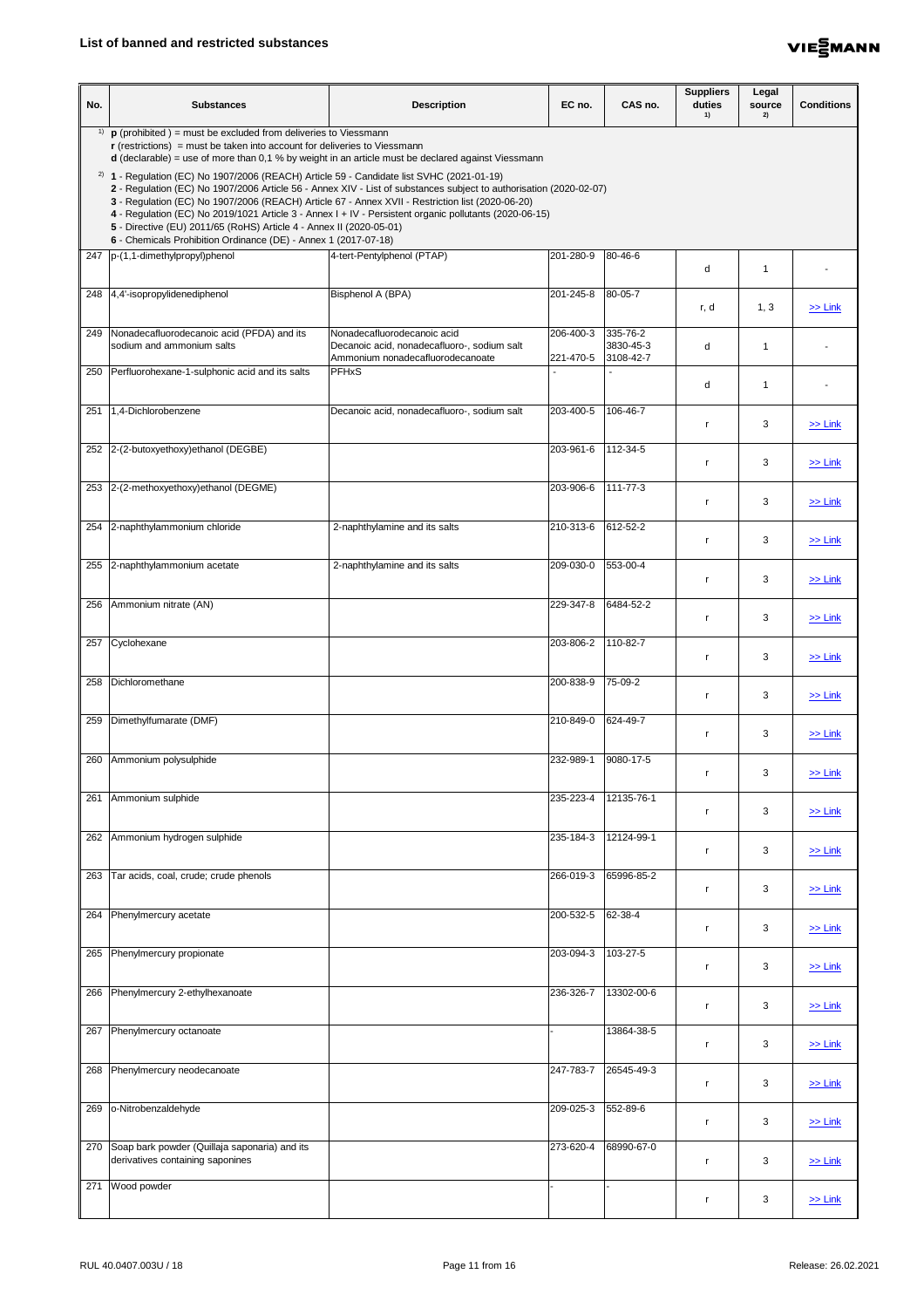

| No. | <b>Substances</b>                                                                                                                                                                                                                                                                                                                         | <b>Description</b>                                                                                                                                                                                                           | EC no.                 | CAS no.                            | <b>Suppliers</b><br>duties<br>1) | Legal<br>source<br>2)    | <b>Conditions</b> |
|-----|-------------------------------------------------------------------------------------------------------------------------------------------------------------------------------------------------------------------------------------------------------------------------------------------------------------------------------------------|------------------------------------------------------------------------------------------------------------------------------------------------------------------------------------------------------------------------------|------------------------|------------------------------------|----------------------------------|--------------------------|-------------------|
| 1)  | $\mathbf p$ (prohibited) = must be excluded from deliveries to Viessmann<br>$\mathbf r$ (restrictions) = must be taken into account for deliveries to Viessmann                                                                                                                                                                           | $d$ (declarable) = use of more than 0,1 % by weight in an article must be declared against Viessmann                                                                                                                         |                        |                                    |                                  |                          |                   |
|     | $2)$ 1 - Regulation (EC) No 1907/2006 (REACH) Article 59 - Candidate list SVHC (2021-01-19)<br>3 - Regulation (EC) No 1907/2006 (REACH) Article 67 - Annex XVII - Restriction list (2020-06-20)<br>5 - Directive (EU) 2011/65 (RoHS) Article 4 - Annex II (2020-05-01)<br>6 - Chemicals Prohibition Ordinance (DE) - Annex 1 (2017-07-18) | 2 - Regulation (EC) No 1907/2006 Article 56 - Annex XIV - List of substances subject to authorisation (2020-02-07)<br>4 - Regulation (EC) No 2019/1021 Article 3 - Annex I + IV - Persistent organic pollutants (2020-06-15) |                        |                                    |                                  |                          |                   |
|     | 247  p-(1,1-dimethylpropyl)phenol                                                                                                                                                                                                                                                                                                         | 4-tert-Pentylphenol (PTAP)                                                                                                                                                                                                   | 201-280-9              | 80-46-6                            | d                                | $\overline{\phantom{a}}$ |                   |
|     | 248 4,4'-isopropylidenediphenol                                                                                                                                                                                                                                                                                                           | Bisphenol A (BPA)                                                                                                                                                                                                            | 201-245-8              | 80-05-7                            | r, d                             | 1, 3                     | $\gg$ Link        |
| 249 | Nonadecafluorodecanoic acid (PFDA) and its<br>sodium and ammonium salts                                                                                                                                                                                                                                                                   | Nonadecafluorodecanoic acid<br>Decanoic acid, nonadecafluoro-, sodium salt<br>Ammonium nonadecafluorodecanoate                                                                                                               | 206-400-3<br>221-470-5 | 335-76-2<br>3830-45-3<br>3108-42-7 | d                                | -1                       |                   |
|     | 250 Perfluorohexane-1-sulphonic acid and its salts                                                                                                                                                                                                                                                                                        | <b>PFHxS</b>                                                                                                                                                                                                                 |                        |                                    | d                                | -1                       |                   |
| 251 | 1,4-Dichlorobenzene                                                                                                                                                                                                                                                                                                                       | Decanoic acid, nonadecafluoro-, sodium salt                                                                                                                                                                                  | 203-400-5              | 106-46-7                           | -r                               | 3                        | $\ge$ Link        |
|     | 252 2-(2-butoxyethoxy) ethanol (DEGBE)                                                                                                                                                                                                                                                                                                    |                                                                                                                                                                                                                              | 203-961-6              | 112-34-5                           |                                  | 3                        | $>>$ Link         |
|     | 253 2-(2-methoxyethoxy) ethanol (DEGME)                                                                                                                                                                                                                                                                                                   |                                                                                                                                                                                                                              | 203-906-6              | 111-77-3                           |                                  | 3                        | $\ge$ Link        |
|     | 254 2-naphthylammonium chloride                                                                                                                                                                                                                                                                                                           | 2-naphthylamine and its salts                                                                                                                                                                                                | 210-313-6              | 612-52-2                           | r,                               | 3                        | $\ge$ Link        |
|     | 255 2-naphthylammonium acetate                                                                                                                                                                                                                                                                                                            | 2-naphthylamine and its salts                                                                                                                                                                                                | 209-030-0              | 553-00-4                           | r                                | 3                        | $\ge$ Link        |
| 256 | Ammonium nitrate (AN)                                                                                                                                                                                                                                                                                                                     |                                                                                                                                                                                                                              | 229-347-8              | 6484-52-2                          | r                                | 3                        | $\ge$ Link        |
| 257 | Cyclohexane                                                                                                                                                                                                                                                                                                                               |                                                                                                                                                                                                                              | 203-806-2              | 110-82-7                           | r.                               | $\mathfrak{B}$           | $\ge$ Link        |
| 258 | Dichloromethane                                                                                                                                                                                                                                                                                                                           |                                                                                                                                                                                                                              | 200-838-9              | $75-09-2$                          | <b>r</b>                         | 3                        | $\ge$ Link        |
| 259 | Dimethylfumarate (DMF)                                                                                                                                                                                                                                                                                                                    |                                                                                                                                                                                                                              | 210-849-0              | 624-49-7                           | r                                | 3                        | $\ge$ Link        |
|     | 260 Ammonium polysulphide                                                                                                                                                                                                                                                                                                                 |                                                                                                                                                                                                                              | 232-989-1              | 9080-17-5                          | r,                               | $\mathfrak{B}$           | $\ge$ Link        |
| 261 | Ammonium sulphide                                                                                                                                                                                                                                                                                                                         |                                                                                                                                                                                                                              | 235-223-4              | 12135-76-1                         | -r                               | 3                        | $\ge$ Link        |
| 262 | Ammonium hydrogen sulphide                                                                                                                                                                                                                                                                                                                |                                                                                                                                                                                                                              | 235-184-3              | 12124-99-1                         | $\mathsf{r}$                     | $\mathfrak{B}$           | $\geq$ Link       |
| 263 | Tar acids, coal, crude; crude phenols                                                                                                                                                                                                                                                                                                     |                                                                                                                                                                                                                              | 266-019-3              | 65996-85-2                         | -r                               | 3                        | $\ge$ Link        |
|     | 264 Phenylmercury acetate                                                                                                                                                                                                                                                                                                                 |                                                                                                                                                                                                                              | 200-532-5              | 62-38-4                            | r                                | 3                        | $\ge$ Link        |
|     | 265 Phenylmercury propionate                                                                                                                                                                                                                                                                                                              |                                                                                                                                                                                                                              | 203-094-3              | 103-27-5                           |                                  | 3                        | $\ge$ Link        |
|     | 266 Phenylmercury 2-ethylhexanoate                                                                                                                                                                                                                                                                                                        |                                                                                                                                                                                                                              | 236-326-7              | 13302-00-6                         | r                                | 3                        | $\ge$ Link        |
| 267 | Phenylmercury octanoate                                                                                                                                                                                                                                                                                                                   |                                                                                                                                                                                                                              |                        | 13864-38-5                         |                                  | 3                        | $\ge$ Link        |
| 268 | Phenylmercury neodecanoate                                                                                                                                                                                                                                                                                                                |                                                                                                                                                                                                                              | 247-783-7              | 26545-49-3                         | r.                               | 3                        | $\ge$ Link        |
| 269 | o-Nitrobenzaldehyde                                                                                                                                                                                                                                                                                                                       |                                                                                                                                                                                                                              | 209-025-3              | 552-89-6                           | r.                               | 3                        | $\ge$ Link        |
|     | 270 Soap bark powder (Quillaja saponaria) and its<br>derivatives containing saponines                                                                                                                                                                                                                                                     |                                                                                                                                                                                                                              | 273-620-4              | 68990-67-0                         | <b>r</b>                         | 3                        | $\ge$ Link        |
| 271 | Wood powder                                                                                                                                                                                                                                                                                                                               |                                                                                                                                                                                                                              |                        |                                    | r                                | 3                        | $\ge$ Link        |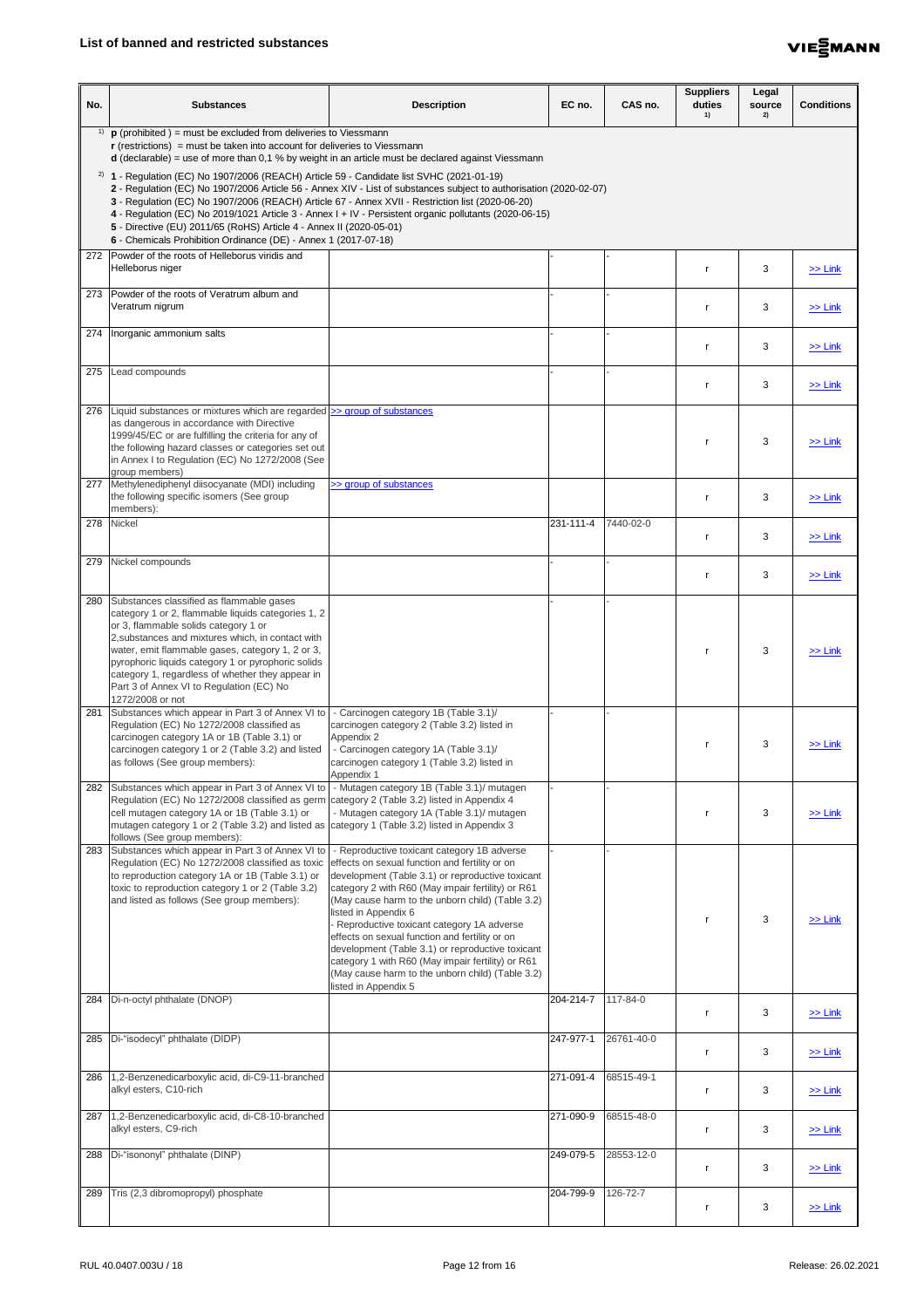

| No. | <b>Substances</b>                                                                                                                                                                                                                                                                                                                                                                                                                                                                                                                                                                         | <b>Description</b>                                                                                                                                                                                                                                                                                                                                                                                                                                                                                                                                                     | EC no.    | CAS no.    | <b>Suppliers</b><br>duties<br>1) | Legal<br>source<br>2) | <b>Conditions</b> |
|-----|-------------------------------------------------------------------------------------------------------------------------------------------------------------------------------------------------------------------------------------------------------------------------------------------------------------------------------------------------------------------------------------------------------------------------------------------------------------------------------------------------------------------------------------------------------------------------------------------|------------------------------------------------------------------------------------------------------------------------------------------------------------------------------------------------------------------------------------------------------------------------------------------------------------------------------------------------------------------------------------------------------------------------------------------------------------------------------------------------------------------------------------------------------------------------|-----------|------------|----------------------------------|-----------------------|-------------------|
|     | <sup>1)</sup> <b>p</b> (prohibited ) = must be excluded from deliveries to Viessmann<br>$\mathbf r$ (restrictions) = must be taken into account for deliveries to Viessmann<br>$d$ (declarable) = use of more than 0,1 % by weight in an article must be declared against Viessmann                                                                                                                                                                                                                                                                                                       |                                                                                                                                                                                                                                                                                                                                                                                                                                                                                                                                                                        |           |            |                                  |                       |                   |
|     | <sup>2)</sup> <b>1</b> - Regulation (EC) No 1907/2006 (REACH) Article 59 - Candidate list SVHC (2021-01-19)<br>2 - Regulation (EC) No 1907/2006 Article 56 - Annex XIV - List of substances subject to authorisation (2020-02-07)<br>3 - Regulation (EC) No 1907/2006 (REACH) Article 67 - Annex XVII - Restriction list (2020-06-20)<br>4 - Regulation (EC) No 2019/1021 Article 3 - Annex I + IV - Persistent organic pollutants (2020-06-15)<br>5 - Directive (EU) 2011/65 (RoHS) Article 4 - Annex II (2020-05-01)<br>6 - Chemicals Prohibition Ordinance (DE) - Annex 1 (2017-07-18) |                                                                                                                                                                                                                                                                                                                                                                                                                                                                                                                                                                        |           |            |                                  |                       |                   |
|     | 272 Powder of the roots of Helleborus viridis and<br>Helleborus niger                                                                                                                                                                                                                                                                                                                                                                                                                                                                                                                     |                                                                                                                                                                                                                                                                                                                                                                                                                                                                                                                                                                        |           |            |                                  | 3                     | $\ge$ Link        |
|     | 273 Powder of the roots of Veratrum album and<br>Veratrum nigrum                                                                                                                                                                                                                                                                                                                                                                                                                                                                                                                          |                                                                                                                                                                                                                                                                                                                                                                                                                                                                                                                                                                        |           |            | r                                | 3                     | $\ge$ Link        |
|     | 274   Inorganic ammonium salts                                                                                                                                                                                                                                                                                                                                                                                                                                                                                                                                                            |                                                                                                                                                                                                                                                                                                                                                                                                                                                                                                                                                                        |           |            |                                  | 3                     | $\ge$ Link        |
|     | 275 Lead compounds                                                                                                                                                                                                                                                                                                                                                                                                                                                                                                                                                                        |                                                                                                                                                                                                                                                                                                                                                                                                                                                                                                                                                                        |           |            |                                  | 3                     | $\ge$ Link        |
|     | 276 Liquid substances or mixtures which are regarded >> group of substances<br>as dangerous in accordance with Directive<br>1999/45/EC or are fulfilling the criteria for any of<br>the following hazard classes or categories set out<br>in Annex I to Regulation (EC) No 1272/2008 (See<br>group members)                                                                                                                                                                                                                                                                               |                                                                                                                                                                                                                                                                                                                                                                                                                                                                                                                                                                        |           |            |                                  | 3                     | $>>$ Link         |
|     | 277 Methylenediphenyl diisocyanate (MDI) including<br>the following specific isomers (See group<br>members):                                                                                                                                                                                                                                                                                                                                                                                                                                                                              | >> group of substances                                                                                                                                                                                                                                                                                                                                                                                                                                                                                                                                                 |           |            |                                  | 3                     | $\ge$ Link        |
|     | 278 Nickel                                                                                                                                                                                                                                                                                                                                                                                                                                                                                                                                                                                |                                                                                                                                                                                                                                                                                                                                                                                                                                                                                                                                                                        | 231-111-4 | 7440-02-0  |                                  | 3                     | $\geq$ Link       |
| 279 | Nickel compounds                                                                                                                                                                                                                                                                                                                                                                                                                                                                                                                                                                          |                                                                                                                                                                                                                                                                                                                                                                                                                                                                                                                                                                        |           |            |                                  | 3                     | $\geq$ Link       |
| 280 | Substances classified as flammable gases<br>category 1 or 2, flammable liquids categories 1, 2<br>or 3, flammable solids category 1 or<br>2, substances and mixtures which, in contact with<br>water, emit flammable gases, category 1, 2 or 3,<br>pyrophoric liquids category 1 or pyrophoric solids<br>category 1, regardless of whether they appear in<br>Part 3 of Annex VI to Regulation (EC) No<br>1272/2008 or not                                                                                                                                                                 |                                                                                                                                                                                                                                                                                                                                                                                                                                                                                                                                                                        |           |            |                                  | 3                     | $\ge$ Link        |
| 281 | Substances which appear in Part 3 of Annex VI to<br>Regulation (EC) No 1272/2008 classified as<br>carcinogen category 1A or 1B (Table 3.1) or<br>carcinogen category 1 or 2 (Table 3.2) and listed<br>as follows (See group members):                                                                                                                                                                                                                                                                                                                                                     | - Carcinogen category 1B (Table 3.1)/<br>carcinogen category 2 (Table 3.2) listed in<br>Appendix 2<br>- Carcinogen category 1A (Table 3.1)/<br>carcinogen category 1 (Table 3.2) listed in<br>Appendix 1                                                                                                                                                                                                                                                                                                                                                               |           |            |                                  | 3                     | $\ge$ Link        |
|     | 282 Substances which appear in Part 3 of Annex VI to<br>Regulation (EC) No 1272/2008 classified as germ<br>cell mutagen category 1A or 1B (Table 3.1) or<br>mutagen category 1 or 2 (Table 3.2) and listed as category 1 (Table 3.2) listed in Appendix 3<br>follows (See group members):                                                                                                                                                                                                                                                                                                 | - Mutagen category 1B (Table 3.1)/ mutagen<br>category 2 (Table 3.2) listed in Appendix 4<br>- Mutagen category 1A (Table 3.1)/ mutagen                                                                                                                                                                                                                                                                                                                                                                                                                                |           |            |                                  | 3                     | $\gg$ Link        |
|     | 283 Substances which appear in Part 3 of Annex VI to<br>Regulation (EC) No 1272/2008 classified as toxic<br>to reproduction category 1A or 1B (Table 3.1) or<br>toxic to reproduction category 1 or 2 (Table 3.2)<br>and listed as follows (See group members):                                                                                                                                                                                                                                                                                                                           | - Reproductive toxicant category 1B adverse<br>effects on sexual function and fertility or on<br>development (Table 3.1) or reproductive toxicant<br>category 2 with R60 (May impair fertility) or R61<br>(May cause harm to the unborn child) (Table 3.2)<br>listed in Appendix 6<br>Reproductive toxicant category 1A adverse<br>effects on sexual function and fertility or on<br>development (Table 3.1) or reproductive toxicant<br>category 1 with R60 (May impair fertility) or R61<br>(May cause harm to the unborn child) (Table 3.2)<br>listed in Appendix 5 |           |            |                                  | 3                     | $\ge$ Link        |
|     | 284 Di-n-octyl phthalate (DNOP)                                                                                                                                                                                                                                                                                                                                                                                                                                                                                                                                                           |                                                                                                                                                                                                                                                                                                                                                                                                                                                                                                                                                                        | 204-214-7 | 117-84-0   |                                  | 3                     | $\geq$ Link       |
| 285 | Di-"isodecyl" phthalate (DIDP)                                                                                                                                                                                                                                                                                                                                                                                                                                                                                                                                                            |                                                                                                                                                                                                                                                                                                                                                                                                                                                                                                                                                                        | 247-977-1 | 26761-40-0 |                                  | 3                     | $\ge$ Link        |
| 286 | 1,2-Benzenedicarboxylic acid, di-C9-11-branched<br>alkyl esters, C10-rich                                                                                                                                                                                                                                                                                                                                                                                                                                                                                                                 |                                                                                                                                                                                                                                                                                                                                                                                                                                                                                                                                                                        | 271-091-4 | 68515-49-1 |                                  | 3                     | $\geq$ Link       |
|     | 287 1,2-Benzenedicarboxylic acid, di-C8-10-branched<br>alkyl esters, C9-rich                                                                                                                                                                                                                                                                                                                                                                                                                                                                                                              |                                                                                                                                                                                                                                                                                                                                                                                                                                                                                                                                                                        | 271-090-9 | 68515-48-0 | r                                | 3                     | $\ge$ Link        |
|     | 288   Di-"isononyl" phthalate (DINP)                                                                                                                                                                                                                                                                                                                                                                                                                                                                                                                                                      |                                                                                                                                                                                                                                                                                                                                                                                                                                                                                                                                                                        | 249-079-5 | 28553-12-0 |                                  | 3                     | $\geq$ Link       |
| 289 | Tris (2,3 dibromopropyl) phosphate                                                                                                                                                                                                                                                                                                                                                                                                                                                                                                                                                        |                                                                                                                                                                                                                                                                                                                                                                                                                                                                                                                                                                        | 204-799-9 | 126-72-7   |                                  | 3                     | $\geq$ Link       |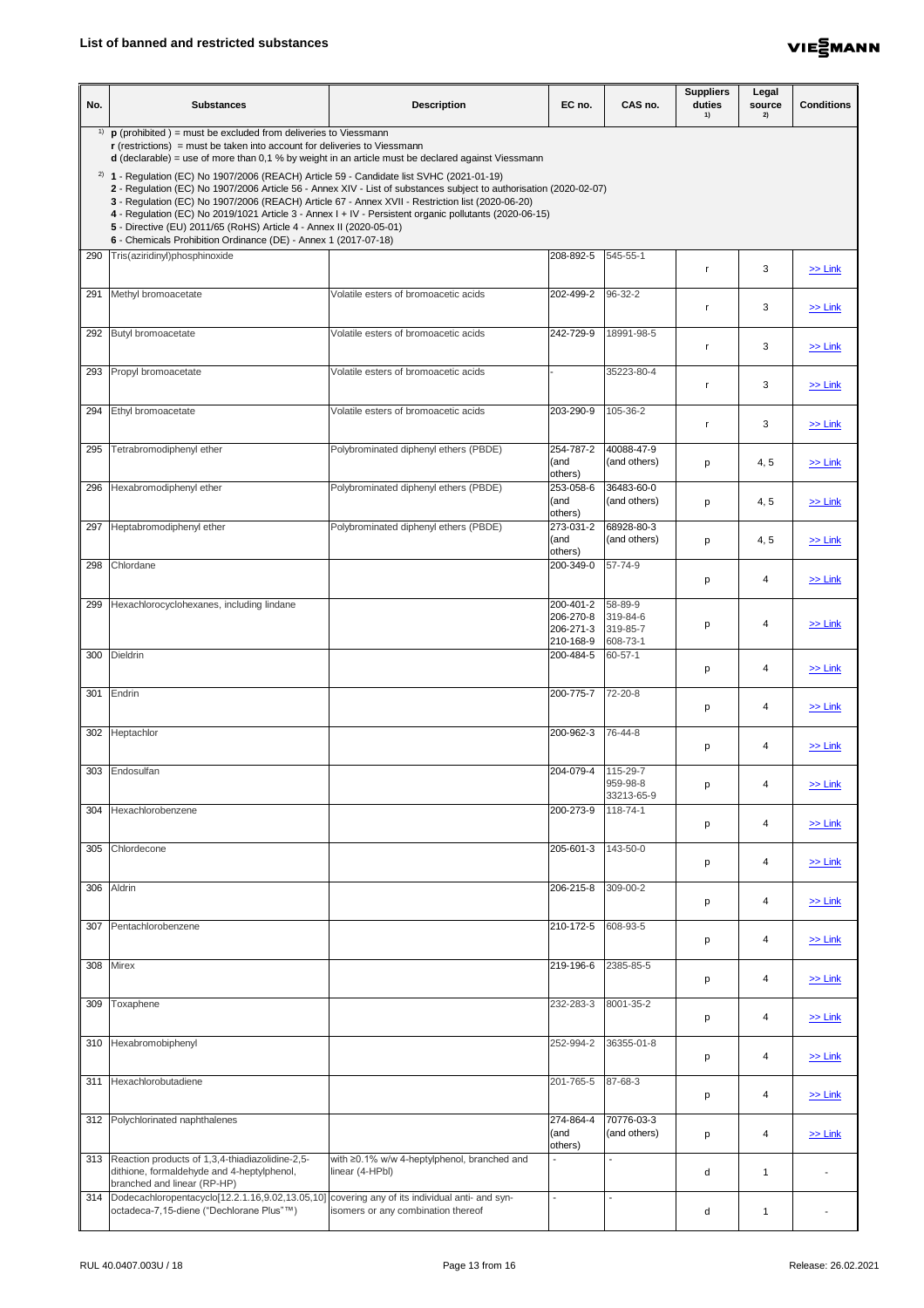

| No. | <b>Substances</b>                                                                                                                                                                                                                                                                                                                                                                                                                                                                                                                                                         | <b>Description</b>                                             | EC no.                                           | CAS no.                                     | <b>Suppliers</b><br>duties<br>1) | Legal<br>source<br>2) | <b>Conditions</b> |  |
|-----|---------------------------------------------------------------------------------------------------------------------------------------------------------------------------------------------------------------------------------------------------------------------------------------------------------------------------------------------------------------------------------------------------------------------------------------------------------------------------------------------------------------------------------------------------------------------------|----------------------------------------------------------------|--------------------------------------------------|---------------------------------------------|----------------------------------|-----------------------|-------------------|--|
| 1)  | $\mathbf p$ (prohibited) = must be excluded from deliveries to Viessmann<br>$r$ (restrictions) = must be taken into account for deliveries to Viessmann<br>$d$ (declarable) = use of more than 0,1 % by weight in an article must be declared against Viessmann                                                                                                                                                                                                                                                                                                           |                                                                |                                                  |                                             |                                  |                       |                   |  |
|     | $2)$ 1 - Regulation (EC) No 1907/2006 (REACH) Article 59 - Candidate list SVHC (2021-01-19)<br>2 - Regulation (EC) No 1907/2006 Article 56 - Annex XIV - List of substances subject to authorisation (2020-02-07)<br>3 - Regulation (EC) No 1907/2006 (REACH) Article 67 - Annex XVII - Restriction list (2020-06-20)<br>4 - Regulation (EC) No 2019/1021 Article 3 - Annex I + IV - Persistent organic pollutants (2020-06-15)<br>5 - Directive (EU) 2011/65 (RoHS) Article 4 - Annex II (2020-05-01)<br>6 - Chemicals Prohibition Ordinance (DE) - Annex 1 (2017-07-18) |                                                                |                                                  |                                             |                                  |                       |                   |  |
| 290 | Tris(aziridinyl)phosphinoxide                                                                                                                                                                                                                                                                                                                                                                                                                                                                                                                                             |                                                                | 208-892-5                                        | 545-55-1                                    |                                  | 3                     | $\ge$ Link        |  |
| 291 | Methyl bromoacetate                                                                                                                                                                                                                                                                                                                                                                                                                                                                                                                                                       | Volatile esters of bromoacetic acids                           | 202-499-2                                        | 96-32-2                                     |                                  | 3                     | $\geq$ Link       |  |
|     | 292 Butyl bromoacetate                                                                                                                                                                                                                                                                                                                                                                                                                                                                                                                                                    | Volatile esters of bromoacetic acids                           | 242-729-9                                        | 18991-98-5                                  |                                  | 3                     | $\ge$ Link        |  |
|     | 293 Propyl bromoacetate                                                                                                                                                                                                                                                                                                                                                                                                                                                                                                                                                   | Volatile esters of bromoacetic acids                           |                                                  | 35223-80-4                                  |                                  | 3                     | $\ge$ Link        |  |
|     | 294 Ethyl bromoacetate                                                                                                                                                                                                                                                                                                                                                                                                                                                                                                                                                    | Volatile esters of bromoacetic acids                           | 203-290-9                                        | 105-36-2                                    |                                  | 3                     | $\ge$ Link        |  |
| 295 | Tetrabromodiphenyl ether                                                                                                                                                                                                                                                                                                                                                                                                                                                                                                                                                  | Polybrominated diphenyl ethers (PBDE)                          | 254-787-2<br>(and<br>others)                     | 40088-47-9<br>(and others)                  | p                                | 4, 5                  | $>>$ Link         |  |
| 296 | Hexabromodiphenyl ether                                                                                                                                                                                                                                                                                                                                                                                                                                                                                                                                                   | Polybrominated diphenyl ethers (PBDE)                          | 253-058-6<br>(and<br>others)                     | 36483-60-0<br>(and others)                  | p                                | 4, 5                  | $\ge$ Link        |  |
| 297 | Heptabromodiphenyl ether                                                                                                                                                                                                                                                                                                                                                                                                                                                                                                                                                  | Polybrominated diphenyl ethers (PBDE)                          | 273-031-2<br>(and<br>others)                     | 68928-80-3<br>(and others)                  | p                                | 4, 5                  | $\ge$ Link        |  |
| 298 | Chlordane                                                                                                                                                                                                                                                                                                                                                                                                                                                                                                                                                                 |                                                                | 200-349-0                                        | 57-74-9                                     | р                                | 4                     | $\ge$ Link        |  |
| 299 | Hexachlorocyclohexanes, including lindane                                                                                                                                                                                                                                                                                                                                                                                                                                                                                                                                 |                                                                | 200-401-2<br>206-270-8<br>206-271-3<br>210-168-9 | 58-89-9<br>319-84-6<br>319-85-7<br>608-73-1 | p                                | 4                     | $\ge$ Link        |  |
| 300 | <b>Dieldrin</b>                                                                                                                                                                                                                                                                                                                                                                                                                                                                                                                                                           |                                                                | 200-484-5                                        | 60-57-1                                     | p                                | 4                     | $\ge$ Link        |  |
| 301 | Endrin                                                                                                                                                                                                                                                                                                                                                                                                                                                                                                                                                                    |                                                                | 200-775-7                                        | 72-20-8                                     | р                                | 4                     | $\ge$ Link        |  |
|     | 302 Heptachlor                                                                                                                                                                                                                                                                                                                                                                                                                                                                                                                                                            |                                                                | 200-962-3                                        | 76-44-8                                     | р                                | 4                     | $\ge$ Link        |  |
| 303 | Endosulfan                                                                                                                                                                                                                                                                                                                                                                                                                                                                                                                                                                |                                                                | 204-079-4                                        | 115-29-7<br>959-98-8<br>33213-65-9          | р                                | 4                     | $\ge$ Link        |  |
| 304 | Hexachlorobenzene                                                                                                                                                                                                                                                                                                                                                                                                                                                                                                                                                         |                                                                | 200-273-9                                        | 118-74-1                                    | р                                | 4                     | $\ge$ Link        |  |
| 305 | Chlordecone                                                                                                                                                                                                                                                                                                                                                                                                                                                                                                                                                               |                                                                | 205-601-3                                        | 143-50-0                                    | р                                | 4                     | $\ge$ Link        |  |
|     | 306 Aldrin                                                                                                                                                                                                                                                                                                                                                                                                                                                                                                                                                                |                                                                | 206-215-8 309-00-2                               |                                             | p                                | 4                     | $\ge$ Link        |  |
|     | 307 Pentachlorobenzene                                                                                                                                                                                                                                                                                                                                                                                                                                                                                                                                                    |                                                                | 210-172-5                                        | 608-93-5                                    | р                                | 4                     | $\ge$ Link        |  |
| 308 | <b>Mirex</b>                                                                                                                                                                                                                                                                                                                                                                                                                                                                                                                                                              |                                                                | 219-196-6                                        | 2385-85-5                                   | p                                | 4                     | $\ge$ Link        |  |
| 309 | Toxaphene                                                                                                                                                                                                                                                                                                                                                                                                                                                                                                                                                                 |                                                                | 232-283-3                                        | 8001-35-2                                   | р                                | 4                     | $\ge$ Link        |  |
|     | 310 Hexabromobiphenyl                                                                                                                                                                                                                                                                                                                                                                                                                                                                                                                                                     |                                                                | 252-994-2                                        | 36355-01-8                                  | p                                | 4                     | $\ge$ Link        |  |
| 311 | Hexachlorobutadiene                                                                                                                                                                                                                                                                                                                                                                                                                                                                                                                                                       |                                                                | 201-765-5                                        | 87-68-3                                     | p                                | 4                     | $\ge$ Link        |  |
|     | 312 Polychlorinated naphthalenes                                                                                                                                                                                                                                                                                                                                                                                                                                                                                                                                          |                                                                | 274-864-4<br>(and<br>others)                     | 70776-03-3<br>(and others)                  | p                                | 4                     | $\ge$ Link        |  |
|     | 313 Reaction products of 1,3,4-thiadiazolidine-2,5-<br>dithione, formaldehyde and 4-heptylphenol,<br>branched and linear (RP-HP)                                                                                                                                                                                                                                                                                                                                                                                                                                          | with ≥0.1% w/w 4-heptylphenol, branched and<br>linear (4-HPbl) | $\blacksquare$                                   |                                             | d                                | -1                    |                   |  |
|     | 314  Dodecachloropentacyclo[12.2.1.16,9.02,13.05,10] covering any of its individual anti- and syn-<br>octadeca-7,15-diene ("Dechlorane Plus"™)                                                                                                                                                                                                                                                                                                                                                                                                                            | isomers or any combination thereof                             | $\blacksquare$                                   |                                             | d                                | $\mathbf 1$           |                   |  |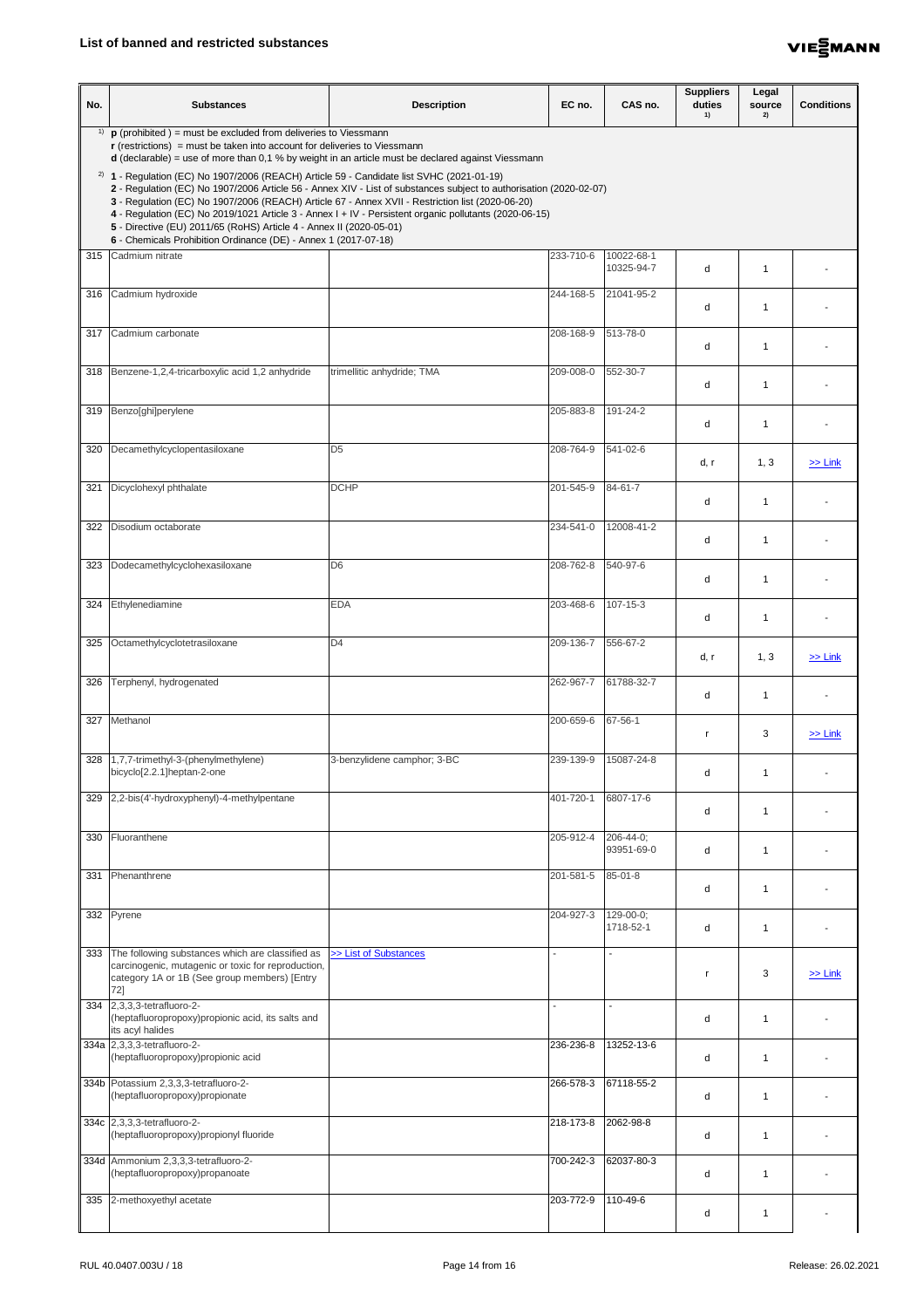

| No. | <b>Substances</b>                                                                                                                                                                                                                                                                                                                                                                                                                                                                                                                                                                  | <b>Description</b>          | EC no.    | CAS no.                  | <b>Suppliers</b><br>duties<br>1) | Legal<br>source<br>2) | <b>Conditions</b> |  |  |
|-----|------------------------------------------------------------------------------------------------------------------------------------------------------------------------------------------------------------------------------------------------------------------------------------------------------------------------------------------------------------------------------------------------------------------------------------------------------------------------------------------------------------------------------------------------------------------------------------|-----------------------------|-----------|--------------------------|----------------------------------|-----------------------|-------------------|--|--|
| 1)  | $\mathbf p$ (prohibited) = must be excluded from deliveries to Viessmann<br>$\mathbf r$ (restrictions) = must be taken into account for deliveries to Viessmann<br><b>d</b> (declarable) = use of more than 0,1 % by weight in an article must be declared against Viessmann                                                                                                                                                                                                                                                                                                       |                             |           |                          |                                  |                       |                   |  |  |
|     | <sup>2)</sup> 1 - Regulation (EC) No 1907/2006 (REACH) Article 59 - Candidate list SVHC (2021-01-19)<br>2 - Regulation (EC) No 1907/2006 Article 56 - Annex XIV - List of substances subject to authorisation (2020-02-07)<br>3 - Regulation (EC) No 1907/2006 (REACH) Article 67 - Annex XVII - Restriction list (2020-06-20)<br>4 - Regulation (EC) No 2019/1021 Article 3 - Annex I + IV - Persistent organic pollutants (2020-06-15)<br>5 - Directive (EU) 2011/65 (RoHS) Article 4 - Annex II (2020-05-01)<br>6 - Chemicals Prohibition Ordinance (DE) - Annex 1 (2017-07-18) |                             |           |                          |                                  |                       |                   |  |  |
|     | 315 Cadmium nitrate                                                                                                                                                                                                                                                                                                                                                                                                                                                                                                                                                                |                             | 233-710-6 | 10022-68-1<br>10325-94-7 | d                                |                       |                   |  |  |
|     | 316 Cadmium hydroxide                                                                                                                                                                                                                                                                                                                                                                                                                                                                                                                                                              |                             | 244-168-5 | 21041-95-2               | d                                |                       |                   |  |  |
|     | 317 Cadmium carbonate                                                                                                                                                                                                                                                                                                                                                                                                                                                                                                                                                              |                             | 208-168-9 | 513-78-0                 | d                                |                       |                   |  |  |
|     | 318   Benzene-1,2,4-tricarboxylic acid 1,2 anhydride                                                                                                                                                                                                                                                                                                                                                                                                                                                                                                                               | trimellitic anhydride; TMA  | 209-008-0 | 552-30-7                 | d                                |                       |                   |  |  |
|     | 319 Benzo[ghi]perylene                                                                                                                                                                                                                                                                                                                                                                                                                                                                                                                                                             |                             | 205-883-8 | 191-24-2                 | d                                | $\mathbf 1$           |                   |  |  |
| 320 | Decamethylcyclopentasiloxane                                                                                                                                                                                                                                                                                                                                                                                                                                                                                                                                                       | D <sub>5</sub>              | 208-764-9 | 541-02-6                 | d, r                             | 1, 3                  | $\gg$ Link        |  |  |
| 321 | Dicyclohexyl phthalate                                                                                                                                                                                                                                                                                                                                                                                                                                                                                                                                                             | <b>DCHP</b>                 | 201-545-9 | 84-61-7                  | d                                |                       |                   |  |  |
| 322 | Disodium octaborate                                                                                                                                                                                                                                                                                                                                                                                                                                                                                                                                                                |                             | 234-541-0 | 12008-41-2               | d                                | 1                     |                   |  |  |
| 323 | Dodecamethylcyclohexasiloxane                                                                                                                                                                                                                                                                                                                                                                                                                                                                                                                                                      | D <sub>6</sub>              | 208-762-8 | 540-97-6                 | d                                | -1                    |                   |  |  |
| 324 | Ethylenediamine                                                                                                                                                                                                                                                                                                                                                                                                                                                                                                                                                                    | <b>EDA</b>                  | 203-468-6 | 107-15-3                 | d                                |                       |                   |  |  |
| 325 | Octamethylcyclotetrasiloxane                                                                                                                                                                                                                                                                                                                                                                                                                                                                                                                                                       | D <sub>4</sub>              | 209-136-7 | 556-67-2                 | d, r                             | 1, 3                  | $\geq$ Link       |  |  |
| 326 | Terphenyl, hydrogenated                                                                                                                                                                                                                                                                                                                                                                                                                                                                                                                                                            |                             | 262-967-7 | 61788-32-7               | d                                | -1                    |                   |  |  |
|     | 327 Methanol                                                                                                                                                                                                                                                                                                                                                                                                                                                                                                                                                                       |                             | 200-659-6 | $67 - 56 - 1$            |                                  | 3                     | $\ge$ Link        |  |  |
| 328 | 1,7,7-trimethyl-3-(phenylmethylene)<br>bicyclo[2.2.1]heptan-2-one                                                                                                                                                                                                                                                                                                                                                                                                                                                                                                                  | 3-benzylidene camphor; 3-BC | 239-139-9 | 15087-24-8               | d                                | 1                     |                   |  |  |
| 329 | 2,2-bis(4'-hydroxyphenyl)-4-methylpentane                                                                                                                                                                                                                                                                                                                                                                                                                                                                                                                                          |                             | 401-720-1 | 6807-17-6                | d                                | 1                     |                   |  |  |
| 330 | Fluoranthene                                                                                                                                                                                                                                                                                                                                                                                                                                                                                                                                                                       |                             | 205-912-4 | 206-44-0;<br>93951-69-0  | d                                | 1                     |                   |  |  |
| 331 | Phenanthrene                                                                                                                                                                                                                                                                                                                                                                                                                                                                                                                                                                       |                             | 201-581-5 | 85-01-8                  | d                                |                       |                   |  |  |
|     | 332 Pyrene                                                                                                                                                                                                                                                                                                                                                                                                                                                                                                                                                                         |                             | 204-927-3 | 129-00-0;<br>1718-52-1   | d                                | 1                     |                   |  |  |
| 333 | The following substances which are classified as<br>carcinogenic, mutagenic or toxic for reproduction,<br>category 1A or 1B (See group members) [Entry<br>72]                                                                                                                                                                                                                                                                                                                                                                                                                      | >> List of Substances       |           |                          |                                  | 3                     | $\ge$ Link        |  |  |
|     | 334 2,3,3,3-tetrafluoro-2-<br>(heptafluoropropoxy)propionic acid, its salts and<br>its acyl halides                                                                                                                                                                                                                                                                                                                                                                                                                                                                                |                             |           |                          | d                                |                       |                   |  |  |
|     | 334a 2,3,3,3-tetrafluoro-2-<br>(heptafluoropropoxy)propionic acid                                                                                                                                                                                                                                                                                                                                                                                                                                                                                                                  |                             | 236-236-8 | 13252-13-6               | d                                |                       |                   |  |  |
|     | 334b Potassium 2,3,3,3-tetrafluoro-2-<br>(heptafluoropropoxy)propionate                                                                                                                                                                                                                                                                                                                                                                                                                                                                                                            |                             | 266-578-3 | 67118-55-2               | d                                |                       |                   |  |  |
|     | 334c 2,3,3,3-tetrafluoro-2-<br>(heptafluoropropoxy)propionyl fluoride                                                                                                                                                                                                                                                                                                                                                                                                                                                                                                              |                             | 218-173-8 | 2062-98-8                | d                                |                       |                   |  |  |
|     | 334d Ammonium 2,3,3,3-tetrafluoro-2-<br>(heptafluoropropoxy)propanoate                                                                                                                                                                                                                                                                                                                                                                                                                                                                                                             |                             | 700-242-3 | 62037-80-3               | d                                |                       |                   |  |  |
| 335 | 2-methoxyethyl acetate                                                                                                                                                                                                                                                                                                                                                                                                                                                                                                                                                             |                             | 203-772-9 | 110-49-6                 | d                                | 1                     |                   |  |  |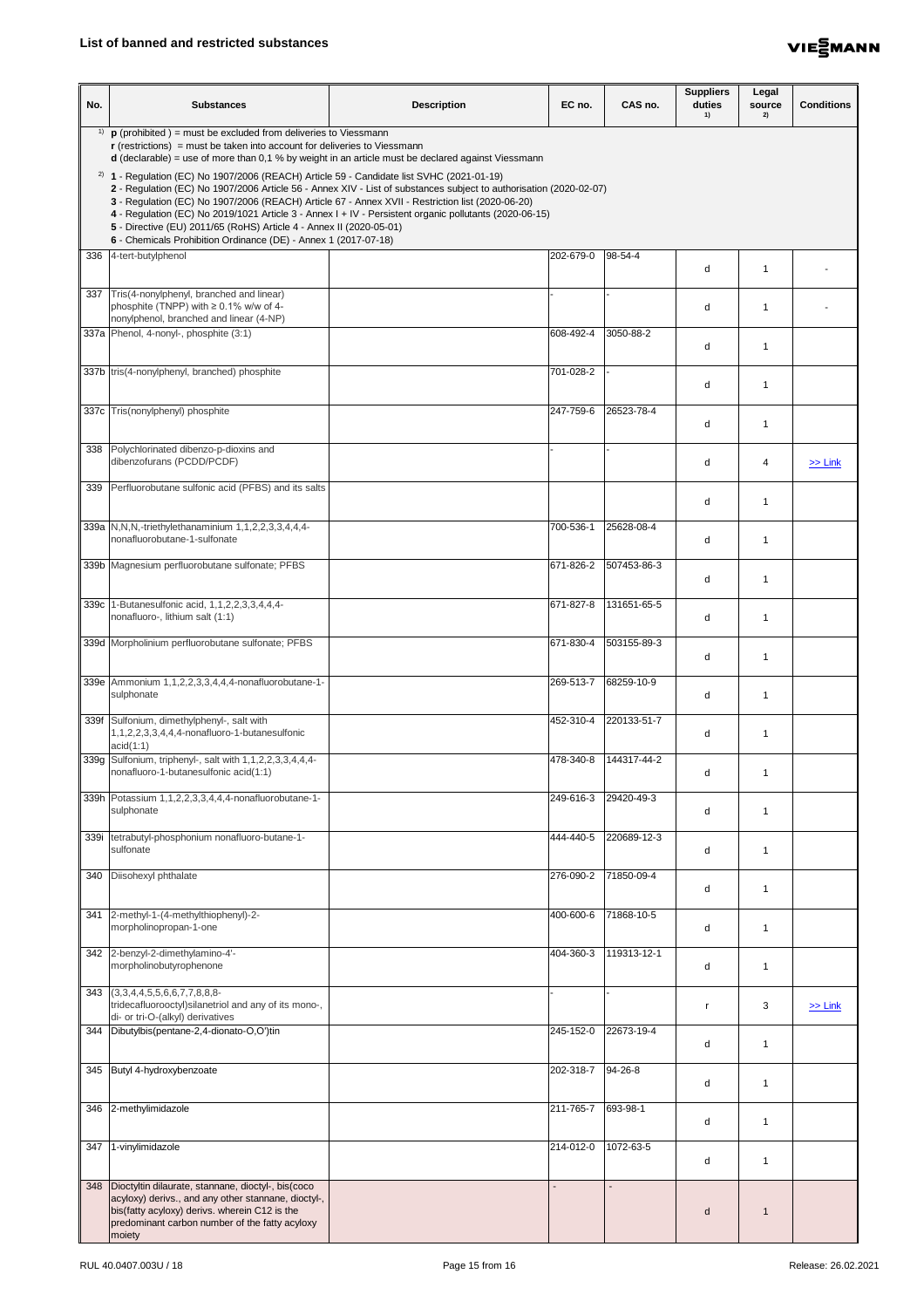

| No. | <b>Substances</b>                                                                                                                                                                                                                                                                                                                                                                                                                                                                                                                                                         | <b>Description</b> | EC no.    | CAS no.       | <b>Suppliers</b><br>duties<br>1) | Legal<br>source<br>2) | <b>Conditions</b> |  |  |
|-----|---------------------------------------------------------------------------------------------------------------------------------------------------------------------------------------------------------------------------------------------------------------------------------------------------------------------------------------------------------------------------------------------------------------------------------------------------------------------------------------------------------------------------------------------------------------------------|--------------------|-----------|---------------|----------------------------------|-----------------------|-------------------|--|--|
|     | <sup>1)</sup> $\mathbf{p}$ (prohibited ) = must be excluded from deliveries to Viessmann<br>$r$ (restrictions) = must be taken into account for deliveries to Viessmann<br>$d$ (declarable) = use of more than 0,1 % by weight in an article must be declared against Viessmann                                                                                                                                                                                                                                                                                           |                    |           |               |                                  |                       |                   |  |  |
|     | $2)$ 1 - Regulation (EC) No 1907/2006 (REACH) Article 59 - Candidate list SVHC (2021-01-19)<br>2 - Regulation (EC) No 1907/2006 Article 56 - Annex XIV - List of substances subject to authorisation (2020-02-07)<br>3 - Regulation (EC) No 1907/2006 (REACH) Article 67 - Annex XVII - Restriction list (2020-06-20)<br>4 - Regulation (EC) No 2019/1021 Article 3 - Annex I + IV - Persistent organic pollutants (2020-06-15)<br>5 - Directive (EU) 2011/65 (RoHS) Article 4 - Annex II (2020-05-01)<br>6 - Chemicals Prohibition Ordinance (DE) - Annex 1 (2017-07-18) |                    |           |               |                                  |                       |                   |  |  |
|     | 336 4-tert-butylphenol                                                                                                                                                                                                                                                                                                                                                                                                                                                                                                                                                    |                    | 202-679-0 | 98-54-4       | d                                |                       |                   |  |  |
|     | 337 Tris(4-nonylphenyl, branched and linear)<br>phosphite (TNPP) with $\geq 0.1\%$ w/w of 4-<br>nonylphenol, branched and linear (4-NP)                                                                                                                                                                                                                                                                                                                                                                                                                                   |                    |           |               | d                                | $\mathbf 1$           |                   |  |  |
|     | 337a Phenol, 4-nonyl-, phosphite (3:1)                                                                                                                                                                                                                                                                                                                                                                                                                                                                                                                                    |                    | 608-492-4 | 3050-88-2     | d                                | 1                     |                   |  |  |
|     | 337b tris(4-nonylphenyl, branched) phosphite                                                                                                                                                                                                                                                                                                                                                                                                                                                                                                                              |                    | 701-028-2 |               | d                                |                       |                   |  |  |
|     | 337c Tris(nonylphenyl) phosphite                                                                                                                                                                                                                                                                                                                                                                                                                                                                                                                                          |                    | 247-759-6 | 26523-78-4    | d                                | 1                     |                   |  |  |
|     | 338 Polychlorinated dibenzo-p-dioxins and<br>dibenzofurans (PCDD/PCDF)                                                                                                                                                                                                                                                                                                                                                                                                                                                                                                    |                    |           |               | d                                | 4                     | $>>$ Link         |  |  |
|     | 339 Perfluorobutane sulfonic acid (PFBS) and its salts                                                                                                                                                                                                                                                                                                                                                                                                                                                                                                                    |                    |           |               | d                                |                       |                   |  |  |
|     | 339a N, N, N, -triethylethanaminium 1, 1, 2, 2, 3, 3, 4, 4, 4-<br>nonafluorobutane-1-sulfonate                                                                                                                                                                                                                                                                                                                                                                                                                                                                            |                    | 700-536-1 | 25628-08-4    | d                                | 1                     |                   |  |  |
|     | 339b Magnesium perfluorobutane sulfonate; PFBS                                                                                                                                                                                                                                                                                                                                                                                                                                                                                                                            |                    | 671-826-2 | 507453-86-3   | d                                | 1                     |                   |  |  |
|     | 339c 1-Butanesulfonic acid, 1,1,2,2,3,3,4,4,4-<br>nonafluoro-, lithium salt (1:1)                                                                                                                                                                                                                                                                                                                                                                                                                                                                                         |                    | 671-827-8 | 131651-65-5   | d                                |                       |                   |  |  |
|     | 339d Morpholinium perfluorobutane sulfonate; PFBS                                                                                                                                                                                                                                                                                                                                                                                                                                                                                                                         |                    | 671-830-4 | 503155-89-3   | d                                | 1                     |                   |  |  |
|     | 339e   Ammonium 1,1,2,2,3,3,4,4,4-nonafluorobutane-1-<br>sulphonate                                                                                                                                                                                                                                                                                                                                                                                                                                                                                                       |                    | 269-513-7 | 68259-10-9    | d                                | 1                     |                   |  |  |
|     | 339f Sulfonium, dimethylphenyl-, salt with<br>1,1,2,2,3,3,4,4,4-nonafluoro-1-butanesulfonic<br>acid(1:1)                                                                                                                                                                                                                                                                                                                                                                                                                                                                  |                    | 452-310-4 | 220133-51-7   | d                                | $\mathbf 1$           |                   |  |  |
|     | 339g Sulfonium, triphenyl-, salt with 1,1,2,2,3,3,4,4,4-<br>nonafluoro-1-butanesulfonic acid(1:1)                                                                                                                                                                                                                                                                                                                                                                                                                                                                         |                    | 478-340-8 | 144317-44-2   | d                                |                       |                   |  |  |
|     | 339h Potassium 1,1,2,2,3,3,4,4,4-nonafluorobutane-1-<br>sulphonate                                                                                                                                                                                                                                                                                                                                                                                                                                                                                                        |                    | 249-616-3 | 29420-49-3    | d                                | 1                     |                   |  |  |
|     | 339i   tetrabutyl-phosphonium nonafluoro-butane-1-<br>sulfonate                                                                                                                                                                                                                                                                                                                                                                                                                                                                                                           |                    | 444-440-5 | 220689-12-3   | d                                | -1                    |                   |  |  |
| 340 | Diisohexyl phthalate                                                                                                                                                                                                                                                                                                                                                                                                                                                                                                                                                      |                    | 276-090-2 | 71850-09-4    |                                  |                       |                   |  |  |
|     | 341 2-methyl-1-(4-methylthiophenyl)-2-<br>morpholinopropan-1-one                                                                                                                                                                                                                                                                                                                                                                                                                                                                                                          |                    | 400-600-6 | 71868-10-5    | d                                | 1                     |                   |  |  |
|     | 342 2-benzyl-2-dimethylamino-4'-<br>morpholinobutyrophenone                                                                                                                                                                                                                                                                                                                                                                                                                                                                                                               |                    | 404-360-3 | 119313-12-1   | d                                | $\mathbf 1$           |                   |  |  |
|     | 343 (3,3,4,4,5,5,6,6,7,7,8,8,8-<br>tridecafluorooctyl) silanetriol and any of its mono-,<br>di- or tri-O-(alkyl) derivatives                                                                                                                                                                                                                                                                                                                                                                                                                                              |                    |           |               |                                  | 3                     | $\geq$ Link       |  |  |
|     | 344   Dibutylbis (pentane-2,4-dionato-O,O')tin                                                                                                                                                                                                                                                                                                                                                                                                                                                                                                                            |                    | 245-152-0 | 22673-19-4    | d                                |                       |                   |  |  |
|     | 345 Butyl 4-hydroxybenzoate                                                                                                                                                                                                                                                                                                                                                                                                                                                                                                                                               |                    | 202-318-7 | $94 - 26 - 8$ | d                                | 1                     |                   |  |  |
|     | 346 2-methylimidazole                                                                                                                                                                                                                                                                                                                                                                                                                                                                                                                                                     |                    | 211-765-7 | 693-98-1      | d                                | 1                     |                   |  |  |
| 347 | 1-vinylimidazole                                                                                                                                                                                                                                                                                                                                                                                                                                                                                                                                                          |                    | 214-012-0 | 1072-63-5     | d                                | 1                     |                   |  |  |
|     | 348   Dioctyltin dilaurate, stannane, dioctyl-, bis(coco<br>acyloxy) derivs., and any other stannane, dioctyl-,<br>bis(fatty acyloxy) derivs. wherein C12 is the<br>predominant carbon number of the fatty acyloxy<br>moiety                                                                                                                                                                                                                                                                                                                                              |                    |           |               | d                                |                       |                   |  |  |